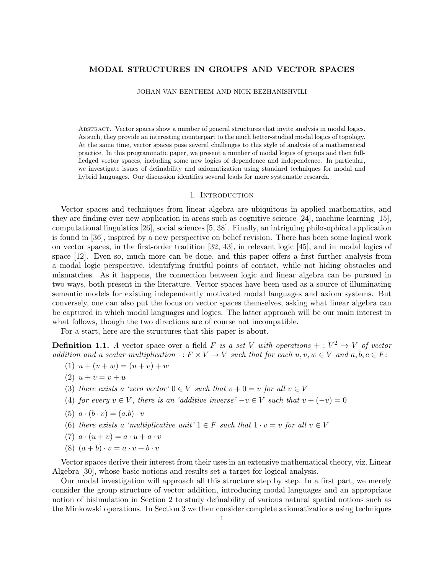## MODAL STRUCTURES IN GROUPS AND VECTOR SPACES

JOHAN VAN BENTHEM AND NICK BEZHANISHVILI

Abstract. Vector spaces show a number of general structures that invite analysis in modal logics. As such, they provide an interesting counterpart to the much better-studied modal logics of topology. At the same time, vector spaces pose several challenges to this style of analysis of a mathematical practice. In this programmatic paper, we present a number of modal logics of groups and then fullfledged vector spaces, including some new logics of dependence and independence. In particular, we investigate issues of definability and axiomatization using standard techniques for modal and hybrid languages. Our discussion identifies several leads for more systematic research.

## 1. INTRODUCTION

Vector spaces and techniques from linear algebra are ubiquitous in applied mathematics, and they are finding ever new application in areas such as cognitive science [24], machine learning [15], computational linguistics [26], social sciences [5, 38]. Finally, an intriguing philosophical application is found in [36], inspired by a new perspective on belief revision. There has been some logical work on vector spaces, in the first-order tradition [32, 43], in relevant logic [45], and in modal logics of space [12]. Even so, much more can be done, and this paper offers a first further analysis from a modal logic perspective, identifying fruitful points of contact, while not hiding obstacles and mismatches. As it happens, the connection between logic and linear algebra can be pursued in two ways, both present in the literature. Vector spaces have been used as a source of illuminating semantic models for existing independently motivated modal languages and axiom systems. But conversely, one can also put the focus on vector spaces themselves, asking what linear algebra can be captured in which modal languages and logics. The latter approach will be our main interest in what follows, though the two directions are of course not incompatible.

For a start, here are the structures that this paper is about.

**Definition 1.1.** A vector space over a field F is a set V with operations  $+: V^2 \to V$  of vector addition and a scalar multiplication  $\cdot : F \times V \to V$  such that for each  $u, v, w \in V$  and  $a, b, c \in F$ :

- (1)  $u + (v + w) = (u + v) + w$
- (2)  $u + v = v + u$
- (3) there exists a 'zero vector'  $0 \in V$  such that  $v + 0 = v$  for all  $v \in V$
- (4) for every  $v \in V$ , there is an 'additive inverse'  $-v \in V$  such that  $v + (-v) = 0$
- (5)  $a \cdot (b \cdot v) = (a \cdot b) \cdot v$
- (6) there exists a 'multiplicative unit'  $1 \in F$  such that  $1 \cdot v = v$  for all  $v \in V$
- (7)  $a \cdot (u + v) = a \cdot u + a \cdot v$
- (8)  $(a + b) \cdot v = a \cdot v + b \cdot v$

Vector spaces derive their interest from their uses in an extensive mathematical theory, viz. Linear Algebra [30], whose basic notions and results set a target for logical analysis.

Our modal investigation will approach all this structure step by step. In a first part, we merely consider the group structure of vector addition, introducing modal languages and an appropriate notion of bisimulation in Section 2 to study definability of various natural spatial notions such as the Minkowski operations. In Section 3 we then consider complete axiomatizations using techniques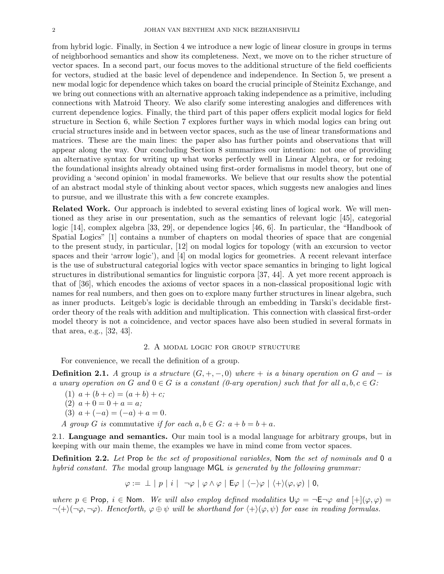from hybrid logic. Finally, in Section 4 we introduce a new logic of linear closure in groups in terms of neighborhood semantics and show its completeness. Next, we move on to the richer structure of vector spaces. In a second part, our focus moves to the additional structure of the field coefficients for vectors, studied at the basic level of dependence and independence. In Section 5, we present a new modal logic for dependence which takes on board the crucial principle of Steinitz Exchange, and we bring out connections with an alternative approach taking independence as a primitive, including connections with Matroid Theory. We also clarify some interesting analogies and differences with current dependence logics. Finally, the third part of this paper offers explicit modal logics for field structure in Section 6, while Section 7 explores further ways in which modal logics can bring out crucial structures inside and in between vector spaces, such as the use of linear transformations and matrices. These are the main lines: the paper also has further points and observations that will appear along the way. Our concluding Section 8 summarizes our intention: not one of providing an alternative syntax for writing up what works perfectly well in Linear Algebra, or for redoing the foundational insights already obtained using first-order formalisms in model theory, but one of providing a 'second opinion' in modal frameworks. We believe that our results show the potential of an abstract modal style of thinking about vector spaces, which suggests new analogies and lines to pursue, and we illustrate this with a few concrete examples.

Related Work. Our approach is indebted to several existing lines of logical work. We will mentioned as they arise in our presentation, such as the semantics of relevant logic [45], categorial logic [14], complex algebra [33, 29], or dependence logics [46, 6]. In particular, the "Handbook of Spatial Logics" [1] contains a number of chapters on modal theories of space that are congenial to the present study, in particular, [12] on modal logics for topology (with an excursion to vector spaces and their 'arrow logic'), and [4] on modal logics for geometries. A recent relevant interface is the use of substructural categorial logics with vector space semantics in bringing to light logical structures in distributional semantics for linguistic corpora [37, 44]. A yet more recent approach is that of [36], which encodes the axioms of vector spaces in a non-classical propositional logic with names for real numbers, and then goes on to explore many further structures in linear algebra, such as inner products. Leitgeb's logic is decidable through an embedding in Tarski's decidable firstorder theory of the reals with addition and multiplication. This connection with classical first-order model theory is not a coincidence, and vector spaces have also been studied in several formats in that area, e.g., [32, 43].

#### 2. A modal logic for group structure

For convenience, we recall the definition of a group.

**Definition 2.1.** A group is a structure  $(G, +, -, 0)$  where  $+$  is a binary operation on G and  $-$  is a unary operation on G and  $0 \in G$  is a constant (0-ary operation) such that for all  $a, b, c \in G$ :

- (1)  $a + (b + c) = (a + b) + c;$
- (2)  $a + 0 = 0 + a = a$ ;
- (3)  $a + (-a) = (-a) + a = 0.$

A group G is commutative if for each  $a, b \in G$ :  $a + b = b + a$ .

2.1. Language and semantics. Our main tool is a modal language for arbitrary groups, but in keeping with our main theme, the examples we have in mind come from vector spaces.

**Definition 2.2.** Let Prop be the set of propositional variables, Nom the set of nominals and 0 a hybrid constant. The modal group language MGL is generated by the following grammar:

$$
\varphi := \perp |p|i| \neg \varphi | \varphi \wedge \varphi | \mathsf{E}\varphi | \langle -\rangle \varphi | \langle +\rangle (\varphi,\varphi) | 0,
$$

where  $p \in \text{Prop}, i \in \text{Nom}.$  We will also employ defined modalities  $\bigcup \varphi = \neg \text{E} \neg \varphi$  and  $\big[\big] \neg \big[\varphi, \varphi\big] = \neg \varphi$  $\neg\langle +\rangle(\neg\varphi, \neg\varphi)$ . Henceforth,  $\varphi \oplus \psi$  will be shorthand for  $\langle +\rangle(\varphi, \psi)$  for ease in reading formulas.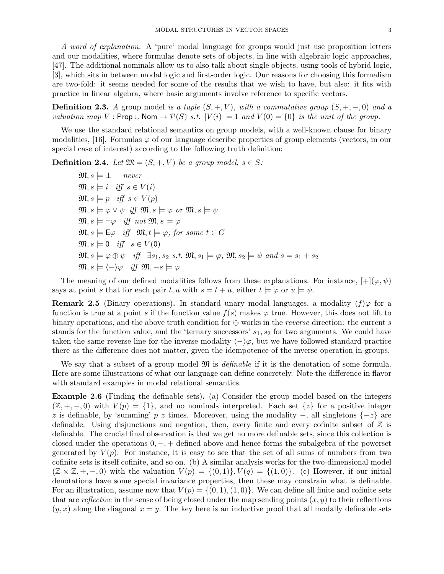A word of explanation. A 'pure' modal language for groups would just use proposition letters and our modalities, where formulas denote sets of objects, in line with algebraic logic approaches, [47]. The additional nominals allow us to also talk about single objects, using tools of hybrid logic, [3], which sits in between modal logic and first-order logic. Our reasons for choosing this formalism are two-fold: it seems needed for some of the results that we wish to have, but also: it fits with practice in linear algebra, where basic arguments involve reference to specific vectors.

**Definition 2.3.** A group model is a tuple  $(S, +, V)$ , with a commutative group  $(S, +, -, 0)$  and a valuation map V : Prop  $\cup$  Nom  $\rightarrow \mathcal{P}(S)$  s.t.  $|V(i)| = 1$  and  $V(0) = \{0\}$  is the unit of the group.

We use the standard relational semantics on group models, with a well-known clause for binary modalities, [16]. Formulas  $\varphi$  of our language describe properties of group elements (vectors, in our special case of interest) according to the following truth definition:

**Definition 2.4.** Let  $\mathfrak{M} = (S, +, V)$  be a group model,  $s \in S$ :

 $\mathfrak{M}, s \models \bot$  never  $\mathfrak{M}, s \models i \text{ iff } s \in V(i)$  $\mathfrak{M}, s \models p \text{ iff } s \in V(p)$  $\mathfrak{M}, s \models \varphi \lor \psi \text{ iff } \mathfrak{M}, s \models \varphi \text{ or } \mathfrak{M}, s \models \psi$  $\mathfrak{M}, s \models \neg \varphi \text{ iff not } \mathfrak{M}, s \models \varphi$  $\mathfrak{M}, s \models \mathsf{E}\varphi \quad \text{iff} \quad \mathfrak{M}, t \models \varphi, \text{ for some } t \in G$  $\mathfrak{M}, s \models 0 \quad \text{iff} \quad s \in V(0)$  $\mathfrak{M}, s \models \varphi \oplus \psi \text{ iff } \exists s_1, s_2 \text{ s.t. } \mathfrak{M}, s_1 \models \varphi, \mathfrak{M}, s_2 \models \psi \text{ and } s = s_1 + s_2$  $\mathfrak{M}, s \models \langle -\rangle \varphi \text{ iff } \mathfrak{M}, -s \models \varphi$ 

The meaning of our defined modalities follows from these explanations. For instance,  $[+] (\varphi, \psi)$ says at point s that for each pair t, u with  $s = t + u$ , either  $t \models \varphi$  or  $u \models \psi$ .

**Remark 2.5** (Binary operations). In standard unary modal languages, a modality  $\langle f \rangle \varphi$  for a function is true at a point s if the function value  $f(s)$  makes  $\varphi$  true. However, this does not lift to binary operations, and the above truth condition for  $oplus$  works in the *reverse* direction: the current s stands for the function value, and the 'ternary successors'  $s_1, s_2$  for two arguments. We could have taken the same reverse line for the inverse modality  $\langle -\rangle\varphi$ , but we have followed standard practice there as the difference does not matter, given the idempotence of the inverse operation in groups.

We say that a subset of a group model  $\mathfrak{M}$  is *definable* if it is the denotation of some formula. Here are some illustrations of what our language can define concretely. Note the difference in flavor with standard examples in modal relational semantics.

Example 2.6 (Finding the definable sets). (a) Consider the group model based on the integers  $(\mathbb{Z}, +, -, 0)$  with  $V(p) = \{1\}$ , and no nominals interpreted. Each set  $\{z\}$  for a positive integer z is definable, by 'summing' p z times. Moreover, using the modality  $-$ , all singletons  $\{-z\}$  are definable. Using disjunctions and negation, then, every finite and every cofinite subset of  $\mathbb Z$  is definable. The crucial final observation is that we get no more definable sets, since this collection is closed under the operations  $0, -, +$  defined above and hence forms the subalgebra of the powerset generated by  $V(p)$ . For instance, it is easy to see that the set of all sums of numbers from two cofinite sets is itself cofinite, and so on. (b) A similar analysis works for the two-dimensional model  $(\mathbb{Z} \times \mathbb{Z}, +, -, 0)$  with the valuation  $V(p) = \{(0, 1)\}\,$ ,  $V(q) = \{(1, 0)\}\,$ . (c) However, if our initial denotations have some special invariance properties, then these may constrain what is definable. For an illustration, assume now that  $V(p) = \{(0, 1), (1, 0)\}\.$  We can define all finite and cofinite sets that are reflective in the sense of being closed under the map sending points  $(x, y)$  to their reflections  $(y, x)$  along the diagonal  $x = y$ . The key here is an inductive proof that all modally definable sets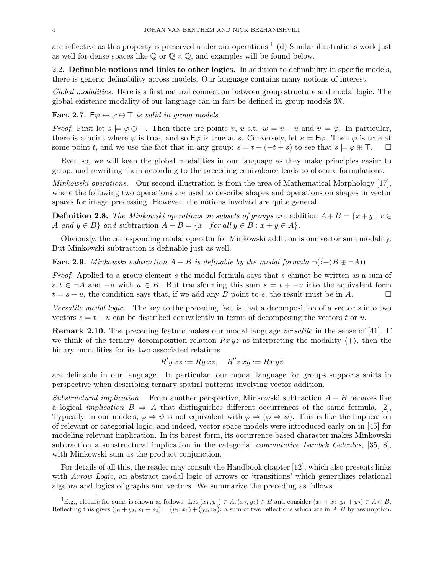are reflective as this property is preserved under our operations.<sup>1</sup> (d) Similar illustrations work just as well for dense spaces like  $\mathbb{Q}$  or  $\mathbb{Q} \times \mathbb{Q}$ , and examples will be found below.

2.2. Definable notions and links to other logics. In addition to definability in specific models, there is generic definability across models. Our language contains many notions of interest.

Global modalities. Here is a first natural connection between group structure and modal logic. The global existence modality of our language can in fact be defined in group models M.

**Fact 2.7.** E $\varphi \leftrightarrow \varphi \oplus \top$  is valid in group models.

*Proof.* First let  $s \models \varphi \oplus \top$ . Then there are points v, u s.t.  $w = v + u$  and  $v \models \varphi$ . In particular, there is a point where  $\varphi$  is true, and so  $E\varphi$  is true at s. Conversely, let  $s \models E\varphi$ . Then  $\varphi$  is true at some point t, and we use the fact that in any group:  $s = t + (-t + s)$  to see that  $s \models \varphi \oplus \top$ .

Even so, we will keep the global modalities in our language as they make principles easier to grasp, and rewriting them according to the preceding equivalence leads to obscure formulations.

Minkowski operations. Our second illustration is from the area of Mathematical Morphology [17], where the following two operations are used to describe shapes and operations on shapes in vector spaces for image processing. However, the notions involved are quite general.

**Definition 2.8.** The Minkowski operations on subsets of groups are addition  $A+B = \{x+y \mid x \in$ A and  $y \in B$  and subtraction  $A - B = \{x \mid \text{for all } y \in B : x + y \in A\}.$ 

Obviously, the corresponding modal operator for Minkowski addition is our vector sum modality. But Minkowski subtraction is definable just as well.

**Fact 2.9.** Minkowski subtraction  $A - B$  is definable by the modal formula  $\neg((-)B \oplus \neg A)$ .

Proof. Applied to a group element s the modal formula says that s cannot be written as a sum of a  $t \in \neg A$  and  $-u$  with  $u \in B$ . But transforming this sum  $s = t + -u$  into the equivalent form  $t = s + u$ , the condition says that, if we add any B-point to s, the result must be in A.

Versatile modal logic. The key to the preceding fact is that a decomposition of a vector s into two vectors  $s = t + u$  can be described equivalently in terms of decomposing the vectors t or u.

**Remark 2.10.** The preceding feature makes our modal language versatile in the sense of [41]. If we think of the ternary decomposition relation  $Rx yz$  as interpreting the modality  $\langle + \rangle$ , then the binary modalities for its two associated relations

$$
R' y x z := Ry x z, \quad R'' z x y := Rx y z
$$

are definable in our language. In particular, our modal language for groups supports shifts in perspective when describing ternary spatial patterns involving vector addition.

Substructural implication. From another perspective, Minkowski subtraction  $A - B$  behaves like a logical *implication*  $B \Rightarrow A$  that distinguishes different occurrences of the same formula, [2], Typically, in our models,  $\varphi \Rightarrow \psi$  is not equivalent with  $\varphi \Rightarrow (\varphi \Rightarrow \psi)$ . This is like the implication of relevant or categorial logic, and indeed, vector space models were introduced early on in [45] for modeling relevant implication. In its barest form, its occurrence-based character makes Minkowski subtraction a substructural implication in the categorial commutative Lambek Calculus, [35, 8], with Minkowski sum as the product conjunction.

For details of all this, the reader may consult the Handbook chapter [12], which also presents links with *Arrow Logic*, an abstract modal logic of arrows or 'transitions' which generalizes relational algebra and logics of graphs and vectors. We summarize the preceding as follows.

<sup>&</sup>lt;sup>1</sup>E.g., closure for sums is shown as follows. Let  $(x_1, y_1) \in A$ ,  $(x_2, y_2) \in B$  and consider  $(x_1 + x_2, y_1 + y_2) \in A \oplus B$ . Reflecting this gives  $(y_1 + y_2, x_1 + x_2) = (y_1, x_1) + (y_2, x_2)$ : a sum of two reflections which are in A, B by assumption.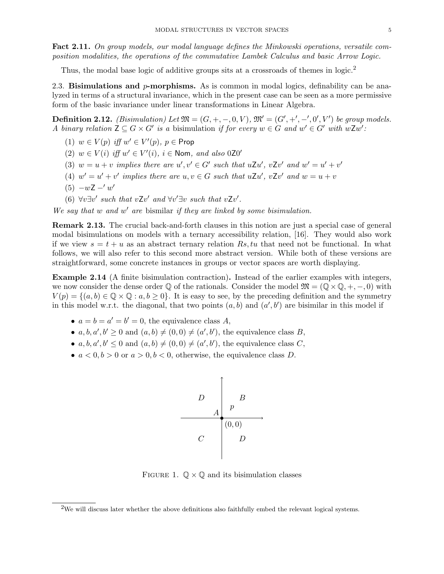Fact 2.11. On group models, our modal language defines the Minkowski operations, versatile composition modalities, the operations of the commutative Lambek Calculus and basic Arrow Logic.

Thus, the modal base logic of additive groups sits at a crossroads of themes in logic.<sup>2</sup>

2.3. Bisimulations and  $p$ -morphisms. As is common in modal logics, definability can be analyzed in terms of a structural invariance, which in the present case can be seen as a more permissive form of the basic invariance under linear transformations in Linear Algebra.

**Definition 2.12.** (Bisimulation) Let  $\mathfrak{M} = (G, +, -, 0, V)$ ,  $\mathfrak{M}' = (G', +', -', 0', V')$  be group models. A binary relation  $\mathsf{Z} \subseteq G \times G'$  is a bisimulation if for every  $w \in G$  and  $w' \in G'$  with  $w\mathsf{Z} w'$ :

- (1)  $w \in V(p)$  iff  $w' \in V'(p)$ ,  $p \in$  Prop
- (2)  $w \in V(i)$  iff  $w' \in V'(i)$ ,  $i \in \text{Nom}$ , and also 0Z0'
- (3)  $w = u + v$  implies there are  $u', v' \in G'$  such that  $uZu', vZv'$  and  $w' = u' + v'$
- (4)  $w' = u' + v'$  implies there are  $u, v \in G$  such that  $uZu'$ ,  $vZv'$  and  $w = u + v$
- $(5) -wZ w'$
- (6)  $\forall v \exists v'$  such that  $vZv'$  and  $\forall v' \exists v$  such that  $vZv'$ .

We say that  $w$  and  $w'$  are bismilar if they are linked by some bisimulation.

Remark 2.13. The crucial back-and-forth clauses in this notion are just a special case of general modal bisimulations on models with a ternary accessibility relation, [16]. They would also work if we view  $s = t + u$  as an abstract ternary relation Rs, tu that need not be functional. In what follows, we will also refer to this second more abstract version. While both of these versions are straightforward, some concrete instances in groups or vector spaces are worth displaying.

Example 2.14 (A finite bisimulation contraction). Instead of the earlier examples with integers, we now consider the dense order  $\mathbb Q$  of the rationals. Consider the model  $\mathfrak{M} = (\mathbb Q \times \mathbb Q, +, -, 0)$  with  $V(p) = \{(a, b) \in \mathbb{Q} \times \mathbb{Q} : a, b \ge 0\}.$  It is easy to see, by the preceding definition and the symmetry in this model w.r.t. the diagonal, that two points  $(a, b)$  and  $(a', b')$  are bisimilar in this model if

- $a = b = a' = b' = 0$ , the equivalence class A,
- $a, b, a', b' \geq 0$  and  $(a, b) \neq (0, 0) \neq (a', b')$ , the equivalence class B,
- $a, b, a', b' \leq 0$  and  $(a, b) \neq (0, 0) \neq (a', b')$ , the equivalence class C,
- $a < 0, b > 0$  or  $a > 0, b < 0$ , otherwise, the equivalence class D.



FIGURE 1.  $\mathbb{Q} \times \mathbb{Q}$  and its bisimulation classes

<sup>&</sup>lt;sup>2</sup>We will discuss later whether the above definitions also faithfully embed the relevant logical systems.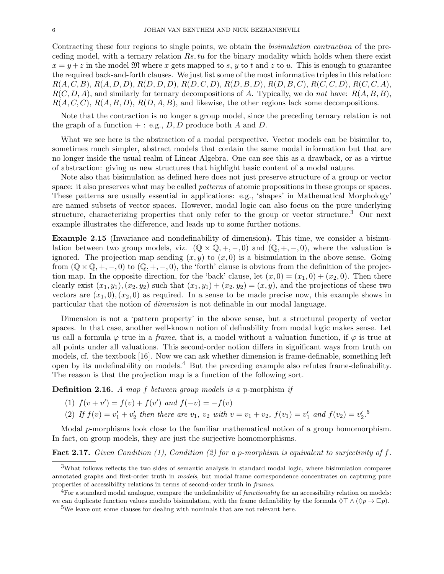Contracting these four regions to single points, we obtain the bisimulation contraction of the preceding model, with a ternary relation  $Rs, tu$  for the binary modality which holds when there exist  $x = y + z$  in the model  $\mathfrak{M}$  where x gets mapped to s, y to t and z to u. This is enough to guarantee the required back-and-forth clauses. We just list some of the most informative triples in this relation:  $R(A, C, B), R(A, D, D), R(D, D, D), R(D, C, D), R(D, B, D), R(D, B, C), R(C, C, D), R(C, C, A),$  $R(C, D, A)$ , and similarly for ternary decompositions of A. Typically, we do not have:  $R(A, B, B)$ ,  $R(A, C, C), R(A, B, D), R(D, A, B)$ , and likewise, the other regions lack some decompositions.

Note that the contraction is no longer a group model, since the preceding ternary relation is not the graph of a function  $+ : e.g., D, D$  produce both A and D.

What we see here is the abstraction of a modal perspective. Vector models can be bisimilar to, sometimes much simpler, abstract models that contain the same modal information but that are no longer inside the usual realm of Linear Algebra. One can see this as a drawback, or as a virtue of abstraction: giving us new structures that highlight basic content of a modal nature.

Note also that bisimulation as defined here does not just preserve structure of a group or vector space: it also preserves what may be called *patterns* of atomic propositions in these groups or spaces. These patterns are usually essential in applications: e.g., 'shapes' in Mathematical Morphology' are named subsets of vector spaces. However, modal logic can also focus on the pure underlying structure, characterizing properties that only refer to the group or vector structure.<sup>3</sup> Our next example illustrates the difference, and leads up to some further notions.

Example 2.15 (Invariance and nondefinability of dimension). This time, we consider a bisimulation between two group models, viz.  $(\mathbb{Q} \times \mathbb{Q}, +, -, 0)$  and  $(\mathbb{Q}, +, -, 0)$ , where the valuation is ignored. The projection map sending  $(x, y)$  to  $(x, 0)$  is a bisimulation in the above sense. Going from  $(\mathbb{Q} \times \mathbb{Q}, +, -, 0)$  to  $(\mathbb{Q}, +, -, 0)$ , the 'forth' clause is obvious from the definition of the projection map. In the opposite direction, for the 'back' clause, let  $(x, 0) = (x_1, 0) + (x_2, 0)$ . Then there clearly exist  $(x_1, y_1), (x_2, y_2)$  such that  $(x_1, y_1) + (x_2, y_2) = (x, y)$ , and the projections of these two vectors are  $(x_1, 0), (x_2, 0)$  as required. In a sense to be made precise now, this example shows in particular that the notion of dimension is not definable in our modal language.

Dimension is not a 'pattern property' in the above sense, but a structural property of vector spaces. In that case, another well-known notion of definability from modal logic makes sense. Let us call a formula  $\varphi$  true in a *frame*, that is, a model without a valuation function, if  $\varphi$  is true at all points under all valuations. This second-order notion differs in significant ways from truth on models, cf. the textbook [16]. Now we can ask whether dimension is frame-definable, something left open by its undefinability on models.<sup>4</sup> But the preceding example also refutes frame-definability. The reason is that the projection map is a function of the following sort.

**Definition 2.16.** A map f between group models is a p-morphism if

- (1)  $f(v + v') = f(v) + f(v')$  and  $f(-v) = -f(v)$
- (2) If  $f(v) = v'_1 + v'_2$  then there are  $v_1$ ,  $v_2$  with  $v = v_1 + v_2$ ,  $f(v_1) = v'_1$  and  $f(v_2) = v'_2$ .<sup>5</sup>

Modal p-morphisms look close to the familiar mathematical notion of a group homomorphism. In fact, on group models, they are just the surjective homomorphisms.

**Fact 2.17.** Given Condition (1), Condition (2) for a p-morphism is equivalent to surjectivity of f.

<sup>3</sup>What follows reflects the two sides of semantic analysis in standard modal logic, where bisimulation compares annotated graphs and first-order truth in models, but modal frame correspondence concentrates on capturng pure properties of accessibility relations in terms of second-order truth in frames.

 ${}^{4}$ For a standard modal analogue, compare the undefinability of functionality for an accessibility relation on models: we can duplicate function values modulo bisimulation, with the frame definability by the formula  $\Diamond \top \land (\Diamond p \rightarrow \Box p)$ .

<sup>&</sup>lt;sup>5</sup>We leave out some clauses for dealing with nominals that are not relevant here.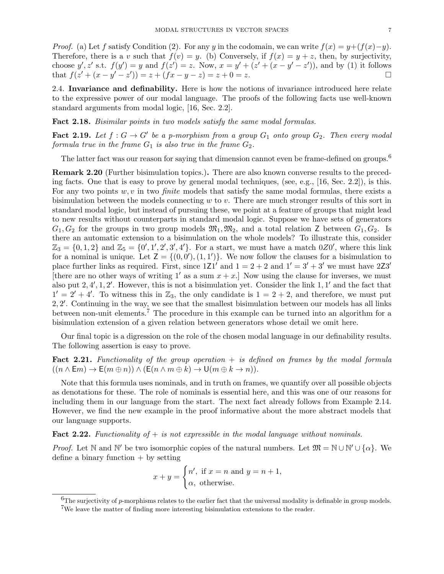*Proof.* (a) Let f satisfy Condition (2). For any y in the codomain, we can write  $f(x) = y + (f(x)-y)$ . Therefore, there is a v such that  $f(v) = y$ . (b) Conversely, if  $f(x) = y + z$ , then, by surjectivity, choose  $y', z'$  s.t.  $f(y') = y$  and  $f(z') = z$ . Now,  $x = y' + (z' + (x - y' - z'))$ , and by (1) it follows that  $f(z' + (x - y' - z')) = z + (fx - y - z) = z + 0 = z.$ 

2.4. Invariance and definability. Here is how the notions of invariance introduced here relate to the expressive power of our modal language. The proofs of the following facts use well-known standard arguments from modal logic, [16, Sec. 2.2].

Fact 2.18. Bisimilar points in two models satisfy the same modal formulas.

**Fact 2.19.** Let  $f: G \to G'$  be a p-morphism from a group  $G_1$  onto group  $G_2$ . Then every modal formula true in the frame  $G_1$  is also true in the frame  $G_2$ .

The latter fact was our reason for saying that dimension cannot even be frame-defined on groups.<sup>6</sup>

Remark 2.20 (Further bisimulation topics.). There are also known converse results to the preceding facts. One that is easy to prove by general modal techniques, (see, e.g., [16, Sec. 2.2]), is this. For any two points  $w, v$  in two *finite* models that satisfy the same modal formulas, there exists a bisimulation between the models connecting  $w$  to  $v$ . There are much stronger results of this sort in standard modal logic, but instead of pursuing these, we point at a feature of groups that might lead to new results without counterparts in standard modal logic. Suppose we have sets of generators  $G_1, G_2$  for the groups in two group models  $\mathfrak{M}_1, \mathfrak{M}_2$ , and a total relation Z between  $G_1, G_2$ . Is there an automatic extension to a bisimulation on the whole models? To illustrate this, consider  $\mathbb{Z}_3 = \{0, 1, 2\}$  and  $\mathbb{Z}_5 = \{0', 1', 2', 3', 4'\}$ . For a start, we must have a match  $0Z0'$ , where this link for a nominal is unique. Let  $Z = \{(0, 0'), (1, 1')\}$ . We now follow the clauses for a bisimulation to place further links as required. First, since  $1Z1'$  and  $1 = 2 + 2$  and  $1' = 3' + 3'$  we must have  $2Z3'$ [there are no other ways of writing 1' as a sum  $x + x$ .] Now using the clause for inverses, we must also put  $2, 4', 1, 2'$ . However, this is not a bisimulation yet. Consider the link  $1, 1'$  and the fact that  $1' = 2' + 4'$ . To witness this in  $\mathbb{Z}_3$ , the only candidate is  $1 = 2 + 2$ , and therefore, we must put 2, 2 0 . Continuing in the way, we see that the smallest bisimulation between our models has all links between non-unit elements.<sup>7</sup> The procedure in this example can be turned into an algorithm for a bisimulation extension of a given relation between generators whose detail we omit here.

Our final topic is a digression on the role of the chosen modal language in our definability results. The following assertion is easy to prove.

Fact 2.21. Functionality of the group operation  $+$  is defined on frames by the modal formula  $((n \wedge \mathsf{E}m) \rightarrow \mathsf{E}(m \oplus n)) \wedge (\mathsf{E}(n \wedge m \oplus k) \rightarrow \mathsf{U}(m \oplus k \rightarrow n)).$ 

Note that this formula uses nominals, and in truth on frames, we quantify over all possible objects as denotations for these. The role of nominals is essential here, and this was one of our reasons for including them in our language from the start. The next fact already follows from Example 2.14. However, we find the new example in the proof informative about the more abstract models that our language supports.

## **Fact 2.22.** Functionality of  $+$  is not expressible in the modal language without nominals.

*Proof.* Let N and N' be two isomorphic copies of the natural numbers. Let  $\mathfrak{M} = \mathbb{N} \cup \mathbb{N}' \cup \{\alpha\}$ . We define a binary function  $+$  by setting

$$
x + y = \begin{cases} n', & \text{if } x = n \text{ and } y = n + 1, \\ \alpha, & \text{otherwise.} \end{cases}
$$

<sup>&</sup>lt;sup>6</sup>The surjectivity of p-morphisms relates to the earlier fact that the universal modality is definable in group models.

<sup>&</sup>lt;sup>7</sup>We leave the matter of finding more interesting bisimulation extensions to the reader.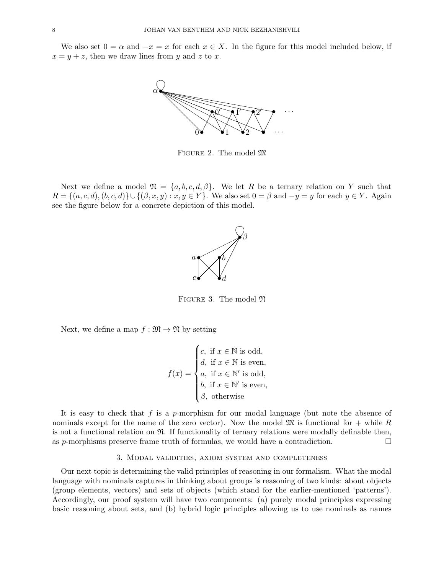We also set  $0 = \alpha$  and  $-x = x$  for each  $x \in X$ . In the figure for this model included below, if  $x = y + z$ , then we draw lines from y and z to x.



FIGURE 2. The model  $\mathfrak{M}$ 

Next we define a model  $\mathfrak{N} = \{a, b, c, d, \beta\}$ . We let R be a ternary relation on Y such that  $R = \{(a, c, d), (b, c, d)\} \cup \{(\beta, x, y) : x, y \in Y\}$ . We also set  $0 = \beta$  and  $-y = y$  for each  $y \in Y$ . Again see the figure below for a concrete depiction of this model.



FIGURE 3. The model  $\mathfrak{N}$ 

Next, we define a map  $f : \mathfrak{M} \to \mathfrak{N}$  by setting

$$
f(x) = \begin{cases} c, & \text{if } x \in \mathbb{N} \text{ is odd,} \\ d, & \text{if } x \in \mathbb{N} \text{ is even,} \\ a, & \text{if } x \in \mathbb{N'} \text{ is odd,} \\ b, & \text{if } x \in \mathbb{N'} \text{ is even,} \\ \beta, & \text{otherwise} \end{cases}
$$

It is easy to check that f is a p-morphism for our modal language (but note the absence of nominals except for the name of the zero vector). Now the model  $\mathfrak{M}$  is functional for  $+$  while R is not a functional relation on  $\mathfrak{N}$ . If functionality of ternary relations were modally definable then, as p-morphisms preserve frame truth of formulas, we would have a contradiction.  $\Box$ 

#### 3. Modal validities, axiom system and completeness

Our next topic is determining the valid principles of reasoning in our formalism. What the modal language with nominals captures in thinking about groups is reasoning of two kinds: about objects (group elements, vectors) and sets of objects (which stand for the earlier-mentioned 'patterns'). Accordingly, our proof system will have two components: (a) purely modal principles expressing basic reasoning about sets, and (b) hybrid logic principles allowing us to use nominals as names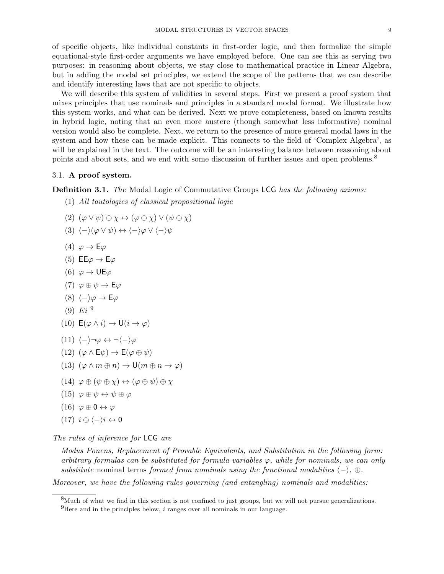of specific objects, like individual constants in first-order logic, and then formalize the simple equational-style first-order arguments we have employed before. One can see this as serving two purposes: in reasoning about objects, we stay close to mathematical practice in Linear Algebra, but in adding the modal set principles, we extend the scope of the patterns that we can describe and identify interesting laws that are not specific to objects.

We will describe this system of validities in several steps. First we present a proof system that mixes principles that use nominals and principles in a standard modal format. We illustrate how this system works, and what can be derived. Next we prove completeness, based on known results in hybrid logic, noting that an even more austere (though somewhat less informative) nominal version would also be complete. Next, we return to the presence of more general modal laws in the system and how these can be made explicit. This connects to the field of 'Complex Algebra', as will be explained in the text. The outcome will be an interesting balance between reasoning about points and about sets, and we end with some discussion of further issues and open problems.<sup>8</sup>

#### 3.1. A proof system.

**Definition 3.1.** The Modal Logic of Commutative Groups LCG has the following axioms:

- (1) All tautologies of classical propositional logic
- (2)  $(\varphi \vee \psi) \oplus \chi \leftrightarrow (\varphi \oplus \chi) \vee (\psi \oplus \chi)$

$$
(3) \langle - \rangle (\varphi \vee \psi) \leftrightarrow \langle - \rangle \varphi \vee \langle - \rangle \psi
$$

- (4)  $\varphi \to \mathsf{E}\varphi$
- (5) EE $\varphi \to E\varphi$
- (6)  $\varphi \to \mathsf{UE}\varphi$
- (7)  $\varphi \oplus \psi \rightarrow E\varphi$
- (8)  $\langle -\rangle\varphi \rightarrow E\varphi$
- $(9) Ei<sup>9</sup>$
- (10)  $E(\varphi \wedge i) \rightarrow U(i \rightarrow \varphi)$
- $(11)$   $\langle \rangle \neg \varphi \leftrightarrow \neg \langle \rangle \varphi$
- (12)  $(\varphi \wedge \mathsf{E}\psi) \rightarrow \mathsf{E}(\varphi \oplus \psi)$
- (13)  $(\varphi \wedge m \oplus n) \rightarrow \mathsf{U}(m \oplus n \rightarrow \varphi)$
- $(14) \varphi \oplus (\psi \oplus \chi) \leftrightarrow (\varphi \oplus \psi) \oplus \chi$
- (15)  $\varphi \oplus \psi \leftrightarrow \psi \oplus \varphi$
- $(16) \varphi \oplus 0 \leftrightarrow \varphi$
- $(17)$   $i \oplus \langle -\rangle i \leftrightarrow 0$

The rules of inference for LCG are

Modus Ponens, Replacement of Provable Equivalents, and Substitution in the following form: arbitrary formulas can be substituted for formula variables  $\varphi$ , while for nominals, we can only substitute nominal terms formed from nominals using the functional modalities  $\langle - \rangle$ , ⊕.

Moreover, we have the following rules governing (and entangling) nominals and modalities:

<sup>&</sup>lt;sup>8</sup>Much of what we find in this section is not confined to just groups, but we will not pursue generalizations.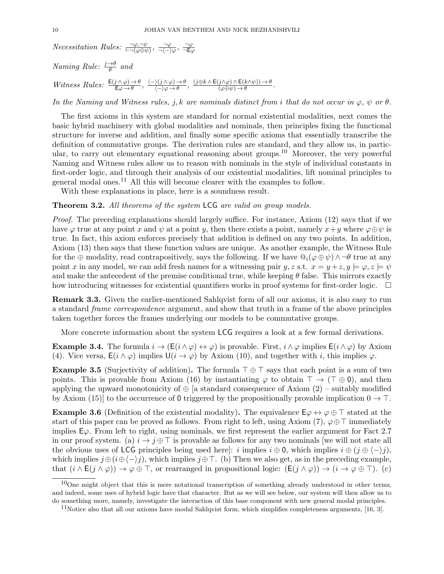*Necessitation Rules:*  $\frac{\neg \varphi, \neg \psi}{\vdash \neg (\varphi \oplus \psi)}, \frac{\neg \varphi}{\neg \langle - \rangle}$  $\frac{\neg \varphi}{\neg \langle - \rangle \varphi}, \frac{\neg \varphi}{\neg \mathsf{E} \varphi}$  $\neg \mathsf{E}\varphi$ 

Naming Rule:  $\frac{j \rightarrow \theta}{\theta}$  and

Witness Rules:  $\frac{E(j \wedge \varphi) \to \theta}{E\varphi \to \theta}$ ,  $\frac{\langle -\rangle(j \wedge \varphi) \to \theta}{\langle -\rangle \varphi \to \theta}$  $\frac{\partial(\overline{j}\wedge\varphi)\rightarrow\theta}{\langle-\rangle\varphi\rightarrow\theta},\;\frac{(j\oplus k\wedge\mathsf{E}(j\wedge\varphi)\wedge\mathsf{E}(k\wedge\psi))\rightarrow\theta}{(\varphi\oplus\psi)\rightarrow\theta}$  $\frac{\partial f}{\partial \varphi \oplus \psi}$   $\rightarrow \theta$ .

In the Naming and Witness rules, j, k are nominals distinct from i that do not occur in  $\varphi$ ,  $\psi$  or  $\theta$ .

The first axioms in this system are standard for normal existential modalities, next comes the basic hybrid machinery with global modalities and nominals, then principles fixing the functional structure for inverse and addition, and finally some specific axioms that essentially transcribe the definition of commutative groups. The derivation rules are standard, and they allow us, in particular, to carry out elementary equational reasoning about groups.<sup>10</sup> Moreover, the very powerful Naming and Witness rules allow us to reason with nominals in the style of individual constants in first-order logic, and through their analysis of our existential modalities, lift nominal principles to general modal ones.<sup>11</sup> All this will become clearer with the examples to follow.

With these explanations in place, here is a soundness result.

Theorem 3.2. All theorems of the system LCG are valid on group models.

Proof. The preceding explanations should largely suffice. For instance, Axiom (12) says that if we have  $\varphi$  true at any point x and  $\psi$  at a point y, then there exists a point, namely  $x+y$  where  $\varphi \oplus \psi$  is true. In fact, this axiom enforces precisely that addition is defined on any two points. In addition, Axiom (13) then says that these function values are unique. As another example, the Witness Rule for the ⊕ modality, read contrapositively, says the following. If we have  $\mathbb{Q}_i(\varphi \oplus \psi) \wedge \neg \theta$  true at any point x in any model, we can add fresh names for a witnessing pair y, z s.t.  $x = y + z$ ,  $y \models \varphi$ ,  $z \models \psi$ and make the antecedent of the premise conditional true, while keeping  $\theta$  false. This mirrors exactly how introducing witnesses for existential quantifiers works in proof systems for first-order logic.  $\Box$ 

Remark 3.3. Given the earlier-mentioned Sahlqvist form of all our axioms, it is also easy to run a standard frame correspondence argument, and show that truth in a frame of the above principles taken together forces the frames underlying our models to be commutative groups.

More concrete information about the system LCG requires a look at a few formal derivations.

**Example 3.4.** The formula  $i \to (E(i \wedge \varphi) \leftrightarrow \varphi)$  is provable. First,  $i \wedge \varphi$  implies  $E(i \wedge \varphi)$  by Axiom (4). Vice versa,  $E(i \wedge \varphi)$  implies  $U(i \to \varphi)$  by Axiom (10), and together with i, this implies  $\varphi$ .

**Example 3.5** (Surjectivity of addition). The formula  $\top \oplus \top$  says that each point is a sum of two points. This is provable from Axiom (16) by instantiating  $\varphi$  to obtain  $\top \to (\top \oplus 0)$ , and then applying the upward monotonicity of  $\oplus$  [a standard consequence of Axiom (2) – suitably modified by Axiom (15)] to the occurrence of 0 triggered by the propositionally provable implication  $0 \rightarrow \top$ .

**Example 3.6** (Definition of the existential modality). The equivalence  $E\varphi \leftrightarrow \varphi \oplus \top$  stated at the start of this paper can be proved as follows. From right to left, using Axiom (7),  $\varphi \oplus \top$  immediately implies  $E\varphi$ . From left to right, using nominals, we first represent the earlier argument for Fact 2.7 in our proof system. (a)  $i \rightarrow j \oplus \top$  is provable as follows for any two nominals we will not state all the obvious uses of LCG principles being used here]: i implies  $i \oplus 0$ , which implies  $i \oplus (j \oplus \langle -\rangle j)$ , which implies  $j \oplus (i \oplus \langle -\rangle j)$ , which implies  $j \oplus \top$ . (b) Then we also get, as in the preceding example, that  $(i \wedge E(j \wedge \varphi)) \rightarrow \varphi \oplus \top$ , or rearranged in propositional logic:  $(E(j \wedge \varphi)) \rightarrow (i \rightarrow \varphi \oplus \top)$ . (c)

 $10$ One might object that this is mere notational transcription of something already understood in other terms, and indeed, some uses of hybrid logic have that character. But as we will see below, our system will then allow us to do something more, namely, investigate the interaction of this base component with new general modal principles.

 $11$ Notice also that all our axioms have modal Sahlqvist form, which simplifies completeness arguments, [16, 3].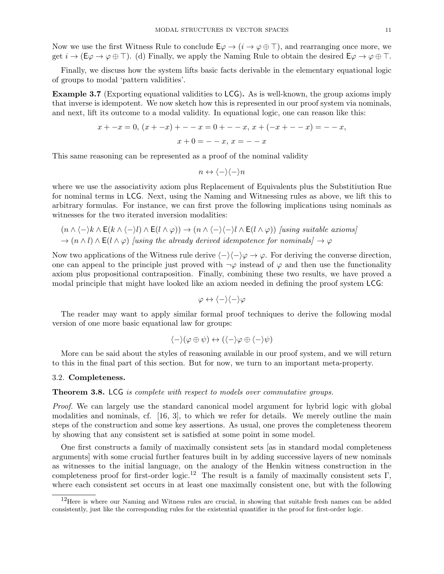Now we use the first Witness Rule to conclude  $\mathsf{E}\varphi \to (i \to \varphi \oplus \top)$ , and rearranging once more, we get  $i \to (\mathsf{E} \varphi \to \varphi \oplus \top)$ . (d) Finally, we apply the Naming Rule to obtain the desired  $\mathsf{E} \varphi \to \varphi \oplus \top$ .

Finally, we discuss how the system lifts basic facts derivable in the elementary equational logic of groups to modal 'pattern validities'.

Example 3.7 (Exporting equational validities to LCG). As is well-known, the group axioms imply that inverse is idempotent. We now sketch how this is represented in our proof system via nominals, and next, lift its outcome to a modal validity. In equational logic, one can reason like this:

$$
x + -x = 0, (x + -x) + -x = 0 + -x, x + (-x - -x) = -x,
$$
  

$$
x + 0 = -x, x = -x
$$

This same reasoning can be represented as a proof of the nominal validity

$$
n \leftrightarrow \langle - \rangle \langle - \rangle n
$$

where we use the associativity axiom plus Replacement of Equivalents plus the Substitiution Rue for nominal terms in LCG. Next, using the Naming and Witnessing rules as above, we lift this to arbitrary formulas. For instance, we can first prove the following implications using nominals as witnesses for the two iterated inversion modalities:

 $(n \wedge \langle -\rangle k \wedge E(k \wedge \langle -\rangle l) \wedge E(l \wedge \varphi)) \rightarrow (n \wedge \langle -\rangle \langle -\rangle l \wedge E(l \wedge \varphi))$  [using suitable axioms]  $\rightarrow$   $(n \wedge l) \wedge E(l \wedge \varphi)$  [using the already derived idempotence for nominals]  $\rightarrow \varphi$ 

Now two applications of the Witness rule derive  $\langle - \rangle \langle - \rangle \varphi \rightarrow \varphi$ . For deriving the converse direction, one can appeal to the principle just proved with  $\neg \varphi$  instead of  $\varphi$  and then use the functionality axiom plus propositional contraposition. Finally, combining these two results, we have proved a modal principle that might have looked like an axiom needed in defining the proof system LCG:

$$
\varphi \leftrightarrow \langle - \rangle \langle - \rangle \varphi
$$

The reader may want to apply similar formal proof techniques to derive the following modal version of one more basic equational law for groups:

$$
\langle - \rangle (\varphi \oplus \psi) \leftrightarrow (\langle - \rangle \varphi \oplus \langle - \rangle \psi)
$$

More can be said about the styles of reasoning available in our proof system, and we will return to this in the final part of this section. But for now, we turn to an important meta-property.

#### 3.2. Completeness.

#### Theorem 3.8. LCG is complete with respect to models over commutative groups.

Proof. We can largely use the standard canonical model argument for hybrid logic with global modalities and nominals, cf. [16, 3], to which we refer for details. We merely outline the main steps of the construction and some key assertions. As usual, one proves the completeness theorem by showing that any consistent set is satisfied at some point in some model.

One first constructs a family of maximally consistent sets [as in standard modal completeness arguments] with some crucial further features built in by adding successive layers of new nominals as witnesses to the initial language, on the analogy of the Henkin witness construction in the completeness proof for first-order logic.<sup>12</sup> The result is a family of maximally consistent sets Γ, where each consistent set occurs in at least one maximally consistent one, but with the following

<sup>&</sup>lt;sup>12</sup>Here is where our Naming and Witness rules are crucial, in showing that suitable fresh names can be added consistently, just like the corresponding rules for the existential quantifier in the proof for first-order logic.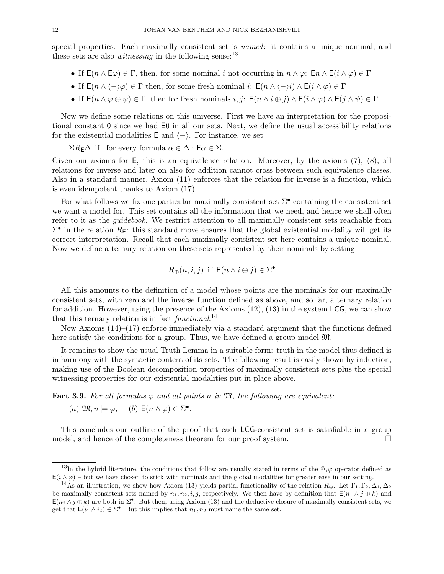special properties. Each maximally consistent set is *named*: it contains a unique nominal, and these sets are also *witnessing* in the following sense:  $13$ 

- If  $E(n \wedge E\varphi) \in \Gamma$ , then, for some nominal i not occurring in  $n \wedge \varphi$ :  $E_n \wedge E(i \wedge \varphi) \in \Gamma$
- If  $E(n \wedge \langle -\rangle \varphi) \in \Gamma$  then, for some fresh nominal i:  $E(n \wedge \langle -\rangle i) \wedge E(i \wedge \varphi) \in \Gamma$
- If  $\mathsf{E}(n \wedge \varphi \oplus \psi) \in \Gamma$ , then for fresh nominals  $i, j: \mathsf{E}(n \wedge i \oplus j) \wedge \mathsf{E}(i \wedge \varphi) \wedge \mathsf{E}(j \wedge \psi) \in \Gamma$

Now we define some relations on this universe. First we have an interpretation for the propositional constant 0 since we had E0 in all our sets. Next, we define the usual accessibility relations for the existential modalities E and  $\langle - \rangle$ . For instance, we set

 $\Sigma R_{\mathsf{E}}\Delta$  if for every formula  $\alpha \in \Delta : \mathsf{E}\alpha \in \Sigma$ .

Given our axioms for E, this is an equivalence relation. Moreover, by the axioms  $(7)$ ,  $(8)$ , all relations for inverse and later on also for addition cannot cross between such equivalence classes. Also in a standard manner, Axiom (11) enforces that the relation for inverse is a function, which is even idempotent thanks to Axiom (17).

For what follows we fix one particular maximally consistent set  $\Sigma^{\bullet}$  containing the consistent set we want a model for. This set contains all the information that we need, and hence we shall often refer to it as the guidebook. We restrict attention to all maximally consistent sets reachable from  $\Sigma^{\bullet}$  in the relation  $R_{\mathsf{E}}$ : this standard move ensures that the global existential modality will get its correct interpretation. Recall that each maximally consistent set here contains a unique nominal. Now we define a ternary relation on these sets represented by their nominals by setting

$$
R_{\oplus}(n, i, j) \text{ if } \mathsf{E}(n \wedge i \oplus j) \in \Sigma^{\bullet}
$$

All this amounts to the definition of a model whose points are the nominals for our maximally consistent sets, with zero and the inverse function defined as above, and so far, a ternary relation for addition. However, using the presence of the Axioms  $(12)$ ,  $(13)$  in the system LCG, we can show that this ternary relation is in fact  $\text{functional}^{14}$ .

Now Axioms (14)–(17) enforce immediately via a standard argument that the functions defined here satisfy the conditions for a group. Thus, we have defined a group model  $\mathfrak{M}$ .

It remains to show the usual Truth Lemma in a suitable form: truth in the model thus defined is in harmony with the syntactic content of its sets. The following result is easily shown by induction, making use of the Boolean decomposition properties of maximally consistent sets plus the special witnessing properties for our existential modalities put in place above.

**Fact 3.9.** For all formulas  $\varphi$  and all points n in  $\mathfrak{M}$ , the following are equivalent:

(a) 
$$
\mathfrak{M}, n \models \varphi, \quad (b) \mathsf{E}(n \wedge \varphi) \in \Sigma^{\bullet}.
$$

This concludes our outline of the proof that each LCG-consistent set is satisfiable in a group model, and hence of the completeness theorem for our proof system.

<sup>&</sup>lt;sup>13</sup>In the hybrid literature, the conditions that follow are usually stated in terms of the  $@i\varphi$  operator defined as  $E(i \wedge \varphi)$  – but we have chosen to stick with nominals and the global modalities for greater ease in our setting.

<sup>&</sup>lt;sup>14</sup>As an illustration, we show how Axiom (13) yields partial functionality of the relation  $R_{\oplus}$ . Let  $\Gamma_1, \Gamma_2, \Delta_1, \Delta_2$ be maximally consistent sets named by  $n_1, n_2, i, j$ , respectively. We then have by definition that  $\mathsf{E}(n_1 \wedge j \oplus k)$  and  $E(n_2 \wedge j \oplus k)$  are both in  $\Sigma^{\bullet}$ . But then, using Axiom (13) and the deductive closure of maximally consistent sets, we get that  $\mathsf{E}(i_1 \wedge i_2) \in \Sigma^{\bullet}$ . But this implies that  $n_1, n_2$  must name the same set.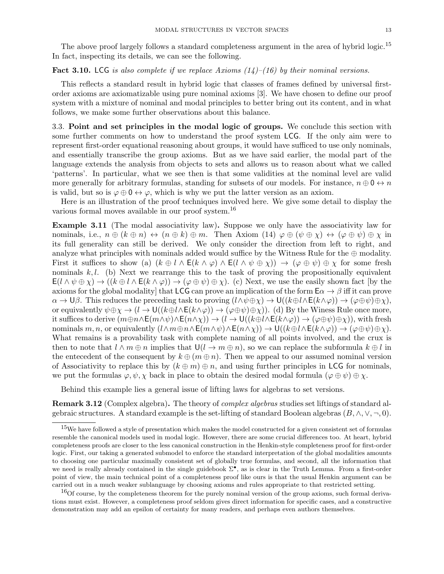The above proof largely follows a standard completeness argument in the area of hybrid logic.<sup>15</sup> In fact, inspecting its details, we can see the following.

**Fact 3.10.** LCG is also complete if we replace Axioms  $(14)$ – $(16)$  by their nominal versions.

This reflects a standard result in hybrid logic that classes of frames defined by universal firstorder axioms are axiomatizable using pure nominal axioms [3]. We have chosen to define our proof system with a mixture of nominal and modal principles to better bring out its content, and in what follows, we make some further observations about this balance.

3.3. Point and set principles in the modal logic of groups. We conclude this section with some further comments on how to understand the proof system LCG. If the only aim were to represent first-order equational reasoning about groups, it would have sufficed to use only nominals, and essentially transcribe the group axioms. But as we have said earlier, the modal part of the language extends the analysis from objects to sets and allows us to reason about what we called 'patterns'. In particular, what we see then is that some validities at the nominal level are valid more generally for arbitrary formulas, standing for subsets of our models. For instance,  $n \oplus 0 \leftrightarrow n$ is valid, but so is  $\varphi \oplus \mathbf{0} \leftrightarrow \varphi$ , which is why we put the latter version as an axiom.

Here is an illustration of the proof techniques involved here. We give some detail to display the various formal moves available in our proof system.<sup>16</sup>

Example 3.11 (The modal associativity law). Suppose we only have the associativity law for nominals, i.e.,  $n \oplus (k \oplus n) \leftrightarrow (n \oplus k) \oplus m$ . Then Axiom  $(14) \varphi \oplus (\psi \oplus \chi) \leftrightarrow (\varphi \oplus \psi) \oplus \chi$  in its full generality can still be derived. We only consider the direction from left to right, and analyze what principles with nominals added would suffice by the Witness Rule for the  $oplus$  modality. First it suffices to show (a)  $(k \oplus l \wedge E(k \wedge \varphi) \wedge E(l \wedge \psi \oplus \chi)) \rightarrow (\varphi \oplus \psi) \oplus \chi$  for some fresh nominals  $k, l$ . (b) Next we rearrange this to the task of proving the propositionally equivalent  $E(l \wedge \psi \oplus \chi) \rightarrow ((k \oplus l \wedge E(k \wedge \varphi)) \rightarrow (\varphi \oplus \psi) \oplus \chi)$ . (c) Next, we use the easily shown fact [by the axioms for the global modality] that LCG can prove an implication of the form  $E\alpha \to \beta$  iff it can prove  $\alpha \to \mathsf{U}\beta$ . This reduces the preceding task to proving  $(l\wedge \psi \oplus \chi) \to \mathsf{U}((k\oplus l\wedge \mathsf{E}(k\wedge \varphi)) \to (\varphi \oplus \psi) \oplus \chi)$ , or equivalently  $\psi \oplus \chi \to (l \to \mathsf{U}((k \oplus l \wedge \mathsf{E}(k \wedge \varphi)) \to (\varphi \oplus \psi) \oplus \chi))$ . (d) By the Winess Rule once more, it suffices to derive  $(m\oplus n\wedge E(m\wedge\psi)\wedge E(n\wedge\chi)) \to (l \to U((k\oplus l\wedge E(k\wedge\varphi)) \to (\varphi\oplus\psi)\oplus\chi)$ , with fresh nominals  $m, n$ , or equivalently  $(l \wedge m \oplus n \wedge E(m \wedge \psi) \wedge E(n \wedge \chi)) \rightarrow U((k \oplus l \wedge E(k \wedge \varphi)) \rightarrow (\varphi \oplus \psi) \oplus \chi)$ . What remains is a provability task with complete naming of all points involved, and the crux is then to note that  $l \wedge m \oplus n$  implies that  $U(l \to m \oplus n)$ , so we can replace the subformula  $k \oplus l$  in the entecedent of the consequent by  $k \oplus (m \oplus n)$ . Then we appeal to our assumed nominal version of Associativity to replace this by  $(k \oplus m) \oplus n$ , and using further principles in LCG for nominals, we put the formulas  $\varphi, \psi, \chi$  back in place to obtain the desired modal formula  $(\varphi \oplus \psi) \oplus \chi$ .

Behind this example lies a general issue of lifting laws for algebras to set versions.

Remark 3.12 (Complex algebra). The theory of complex algebras studies set liftings of standard algebraic structures. A standard example is the set-lifting of standard Boolean algebras  $(B, \wedge, \vee, \neg, 0)$ .

<sup>&</sup>lt;sup>15</sup>We have followed a style of presentation which makes the model constructed for a given consistent set of formulas resemble the canonical models used in modal logic. However, there are some crucial differences too. At heart, hybrid completeness proofs are closer to the less canonical construction in the Henkin-style completeness proof for first-order logic. First, our taking a generated submodel to enforce the standard interpretation of the global modalities amounts to choosing one particular maximally consistent set of globally true formulas, and second, all the information that we need is really already contained in the single guidebook  $\Sigma^{\bullet}$ , as is clear in the Truth Lemma. From a first-order point of view, the main technical point of a completeness proof like ours is that the usual Henkin argument can be carried out in a much weaker sublanguage by choosing axioms and rules appropriate to that restricted setting.

 $16$ Of course, by the completeness theorem for the purely nominal version of the group axioms, such formal derivations must exist. However, a completeness proof seldom gives direct information for specific cases, and a constructive demonstration may add an epsilon of certainty for many readers, and perhaps even authors themselves.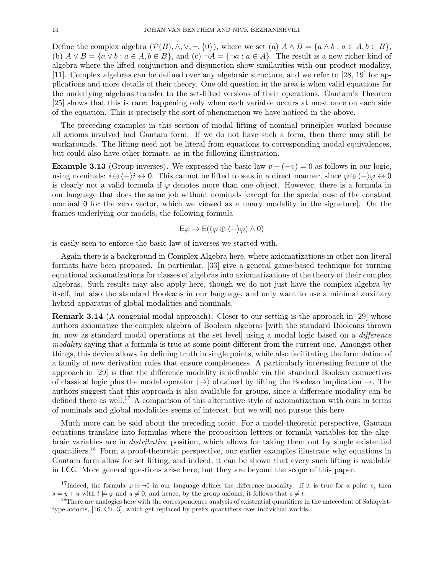Define the complex algebra  $(\mathcal{P}(B), \wedge, \vee, \neg, \{0\})$ , where we set (a)  $A \wedge B = \{a \wedge b : a \in A, b \in B\}$ , (b)  $A \vee B = \{a \vee b : a \in A, b \in B\}$ , and  $(c) \neg A = \{\neg a : a \in A\}$ . The result is a new richer kind of algebra where the lifted conjunction and disjunction show similarities with our product modality, [11]. Complex algebras can be defined over any algebraic structure, and we refer to [28, 19] for applications and more details of their theory. One old question in the area is when valid equations for the underlying algebras transfer to the set-lifted versions of their operations. Gautam's Theorem [25] shows that this is rare: happening only when each variable occurs at most once on each side of the equation. This is precisely the sort of phenomenon we have noticed in the above.

The preceding examples in this section of modal lifting of nominal principles worked because all axioms involved had Gautam form. If we do not have such a form, then there may still be workarounds. The lifting need not be literal from equations to corresponding modal equivalences, but could also have other formats, as in the following illustration.

**Example 3.13** (Group inverses). We expressed the basic law  $v + (-v) = 0$  as follows in our logic, using nominals:  $i \oplus \langle -\rangle i \leftrightarrow 0$ . This cannot be lifted to sets in a direct manner, since  $\varphi \oplus \langle -\rangle \varphi \leftrightarrow 0$ is clearly not a valid formula if  $\varphi$  denotes more than one object. However, there is a formula in our language that does the same job without nominals [except for the special case of the constant nominal 0 for the zero vector, which we viewed as a unary modality in the signature]. On the frames underlying our models, the following formula

$$
E\varphi \to E((\varphi \oplus \langle - \rangle \varphi) \wedge 0)
$$

is easily seen to enforce the basic law of inverses we started with.

Again there is a background in Complex Algebra here, where axiomatizations in other non-literal formats have been proposed. In particular, [33] give a general game-based technique for turning equational axiomatizations for classes of algebras into axiomatizations of the theory of their complex algebras. Such results may also apply here, though we do not just have the complex algebra by itself, but also the standard Booleans in our language, and only want to use a minimal auxiliary hybrid apparatus of global modalities and nominals.

Remark 3.14 (A congenial modal approach). Closer to our setting is the approach in [29] whose authors axiomatize the complex algebra of Boolean algebras [with the standard Booleans thrown in, now as standard modal operations at the set level] using a modal logic based on a difference modality saying that a formula is true at some point different from the current one. Amongst other things, this device allows for defining truth in single points, while also facilitating the formulation of a family of new derivation rules that ensure completeness. A particularly interesting feature of the approach in [29] is that the difference modality is definable via the standard Boolean connectives of classical logic plus the modal operator  $\langle \rightarrow \rangle$  obtained by lifting the Boolean implication  $\rightarrow$ . The authors suggest that this approach is also available for groups, since a difference modality can be defined there as well.<sup>17</sup> A comparison of this alternative style of axiomatization with ours in terms of nominals and global modalities seems of interest, but we will not pursue this here.

Much more can be said about the preceding topic. For a model-theoretic perspective, Gautam equations translate into formulas where the proposition letters or formula variables for the algebraic variables are in distributive position, which allows for taking them out by single existential quantifiers.<sup>18</sup> Form a proof-theoretic perspective, our earlier examples illustrate why equations in Gautam form allow for set lifting, and indeed, it can be shown that every such lifting is available in LCG. More general questions arise here, but they are beyond the scope of this paper.

<sup>&</sup>lt;sup>17</sup>Indeed, the formula  $\varphi \oplus \neg 0$  in our language defines the difference modality. If it is true for a point s, then  $s = y + u$  with  $t \models \varphi$  and  $u \neq 0$ , and hence, by the group axioms, it follows that  $s \neq t$ .

<sup>&</sup>lt;sup>18</sup>There are analogies here with the correspondence analysis of existential quantifiers in the antecedent of Sahlqvisttype axioms, [16, Ch. 3], which get replaced by prefix quantifiers over individual worlds.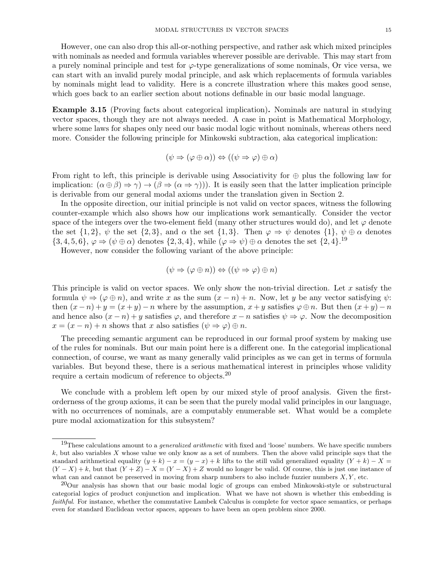However, one can also drop this all-or-nothing perspective, and rather ask which mixed principles with nominals as needed and formula variables wherever possible are derivable. This may start from a purely nominal principle and test for  $\varphi$ -type generalizations of some nominals, Or vice versa, we can start with an invalid purely modal principle, and ask which replacements of formula variables by nominals might lead to validity. Here is a concrete illustration where this makes good sense, which goes back to an earlier section about notions definable in our basic modal language.

Example 3.15 (Proving facts about categorical implication). Nominals are natural in studying vector spaces, though they are not always needed. A case in point is Mathematical Morphology, where some laws for shapes only need our basic modal logic without nominals, whereas others need more. Consider the following principle for Minkowski subtraction, aka categorical implication:

$$
(\psi \Rightarrow (\varphi \oplus \alpha)) \Leftrightarrow ((\psi \Rightarrow \varphi) \oplus \alpha)
$$

From right to left, this principle is derivable using Associativity for  $\oplus$  plus the following law for implication:  $(\alpha \oplus \beta) \Rightarrow \gamma \rightarrow (\beta \Rightarrow (\alpha \Rightarrow \gamma))$ . It is easily seen that the latter implication principle is derivable from our general modal axioms under the translation given in Section 2.

In the opposite direction, our initial principle is not valid on vector spaces, witness the following counter-example which also shows how our implications work semantically. Consider the vector space of the integers over the two-element field (many other structures would do), and let  $\varphi$  denote the set  $\{1,2\}$ ,  $\psi$  the set  $\{2,3\}$ , and  $\alpha$  the set  $\{1,3\}$ . Then  $\varphi \Rightarrow \psi$  denotes  $\{1\}$ ,  $\psi \oplus \alpha$  denotes  ${3, 4, 5, 6}$ ,  $\varphi \Rightarrow (\psi \oplus \alpha)$  denotes  ${2, 3, 4}$ , while  $(\varphi \Rightarrow \psi) \oplus \alpha$  denotes the set  ${2, 4}$ .<sup>19</sup>

However, now consider the following variant of the above principle:

$$
(\psi \Rightarrow (\varphi \oplus n)) \Leftrightarrow ((\psi \Rightarrow \varphi) \oplus n)
$$

This principle is valid on vector spaces. We only show the non-trivial direction. Let  $x$  satisfy the formula  $\psi \Rightarrow (\varphi \oplus n)$ , and write x as the sum  $(x - n) + n$ . Now, let y be any vector satisfying  $\psi$ : then  $(x - n) + y = (x + y) - n$  where by the assumption,  $x + y$  satisfies  $\varphi \oplus n$ . But then  $(x + y) - n$ and hence also  $(x - n) + y$  satisfies  $\varphi$ , and therefore  $x - n$  satisfies  $\psi \Rightarrow \varphi$ . Now the decomposition  $x = (x - n) + n$  shows that x also satisfies  $(\psi \Rightarrow \varphi) \oplus n$ .

The preceding semantic argument can be reproduced in our formal proof system by making use of the rules for nominals. But our main point here is a different one. In the categorial implicational connection, of course, we want as many generally valid principles as we can get in terms of formula variables. But beyond these, there is a serious mathematical interest in principles whose validity require a certain modicum of reference to objects.<sup>20</sup>

We conclude with a problem left open by our mixed style of proof analysis. Given the firstorderness of the group axioms, it can be seen that the purely modal valid principles in our language, with no occurrences of nominals, are a computably enumerable set. What would be a complete pure modal axiomatization for this subsystem?

 $19$ These calculations amount to a *generalized arithmetic* with fixed and 'loose' numbers. We have specific numbers  $k$ , but also variables X whose value we only know as a set of numbers. Then the above valid principle says that the standard arithmetical equality  $(y + k) - x = (y - x) + k$  lifts to the still valid generalized equality  $(Y + k) - X =$  $(Y - X) + k$ , but that  $(Y + Z) - X = (Y - X) + Z$  would no longer be valid. Of course, this is just one instance of what can and cannot be preserved in moving from sharp numbers to also include fuzzier numbers  $X, Y$ , etc.

<sup>&</sup>lt;sup>20</sup>Our analysis has shown that our basic modal logic of groups can embed Minkowski-style or substructural categorial logics of product conjunction and implication. What we have not shown is whether this embedding is faithful. For instance, whether the commutative Lambek Calculus is complete for vector space semantics, or perhaps even for standard Euclidean vector spaces, appears to have been an open problem since 2000.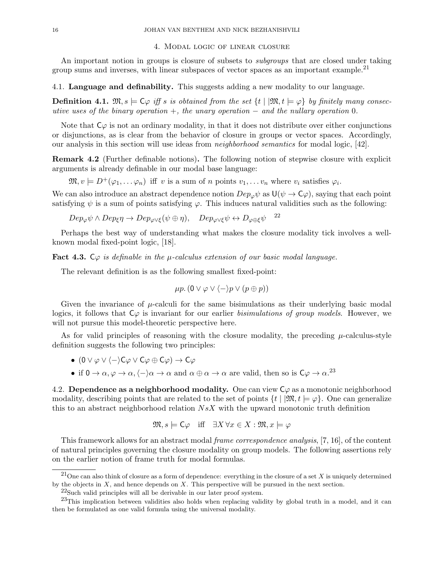#### 4. Modal logic of linear closure

An important notion in groups is closure of subsets to *subgroups* that are closed under taking group sums and inverses, with linear subspaces of vector spaces as an important example.<sup>21</sup>

4.1. Language and definability. This suggests adding a new modality to our language.

**Definition 4.1.**  $\mathfrak{M}, s \models C\varphi$  iff s is obtained from the set  $\{t \mid \mathfrak{M}, t \models \varphi\}$  by finitely many consecutive uses of the binary operation  $+$ , the unary operation  $-$  and the nullary operation 0.

Note that  $C\varphi$  is not an ordinary modality, in that it does not distribute over either conjunctions or disjunctions, as is clear from the behavior of closure in groups or vector spaces. Accordingly, our analysis in this section will use ideas from neighborhood semantics for modal logic, [42].

Remark 4.2 (Further definable notions). The following notion of stepwise closure with explicit arguments is already definable in our modal base language:

 $\mathfrak{M}, v \models D^+(\varphi_1, \dots \varphi_n)$  iff v is a sum of n points  $v_1, \dots v_n$  where  $v_i$  satisfies  $\varphi_i$ .

We can also introduce an abstract dependence notion  $Dep_{\varphi}\psi$  as  $U(\psi \to C\varphi)$ , saying that each point satisfying  $\psi$  is a sum of points satisfying  $\varphi$ . This induces natural validities such as the following:

 $Dep_{\varphi}\psi \wedge Dep_{\xi}\eta \rightarrow Dep_{\varphi\vee\xi}(\psi \oplus \eta), \quad Dep_{\varphi\vee\xi}\psi \leftrightarrow D_{\varphi \oplus \xi}\psi^{-22}$ 

Perhaps the best way of understanding what makes the closure modality tick involves a wellknown modal fixed-point logic, [18].

Fact 4.3. C $\varphi$  is definable in the  $\mu$ -calculus extension of our basic modal language.

The relevant definition is as the following smallest fixed-point:

$$
\mu p. (0 \vee \varphi \vee \langle - \rangle p \vee (p \oplus p))
$$

Given the invariance of  $\mu$ -calculi for the same bisimulations as their underlying basic modal logics, it follows that  $C\varphi$  is invariant for our earlier bisimulations of group models. However, we will not pursue this model-theoretic perspective here.

As for valid principles of reasoning with the closure modality, the preceding  $\mu$ -calculus-style definition suggests the following two principles:

- $(0 \vee \varphi \vee \langle -\rangle C\varphi \vee C\varphi \oplus C\varphi) \rightarrow C\varphi$
- if  $0 \to \alpha, \varphi \to \alpha, \langle -\rangle \alpha \to \alpha$  and  $\alpha \oplus \alpha \to \alpha$  are valid, then so is  $C\varphi \to \alpha$ .<sup>23</sup>

4.2. Dependence as a neighborhood modality. One can view  $C\varphi$  as a monotonic neighborhood modality, describing points that are related to the set of points  $\{t \mid \mathfrak{M}, t \models \varphi\}$ . One can generalize this to an abstract neighborhood relation  $NsX$  with the upward monotonic truth definition

$$
\mathfrak{M}, s \models \mathsf{C}\varphi \quad \text{iff} \quad \exists X \forall x \in X : \mathfrak{M}, x \models \varphi
$$

This framework allows for an abstract modal frame correspondence analysis, [7, 16], of the content of natural principles governing the closure modality on group models. The following assertions rely on the earlier notion of frame truth for modal formulas.

<sup>&</sup>lt;sup>21</sup>One can also think of closure as a form of dependence: everything in the closure of a set X is uniquely determined by the objects in  $X$ , and hence depends on  $X$ . This perspective will be pursued in the next section.

 $22$ Such valid principles will all be derivable in our later proof system.

 $^{23}$ This implication between validities also holds when replacing validity by global truth in a model, and it can then be formulated as one valid formula using the universal modality.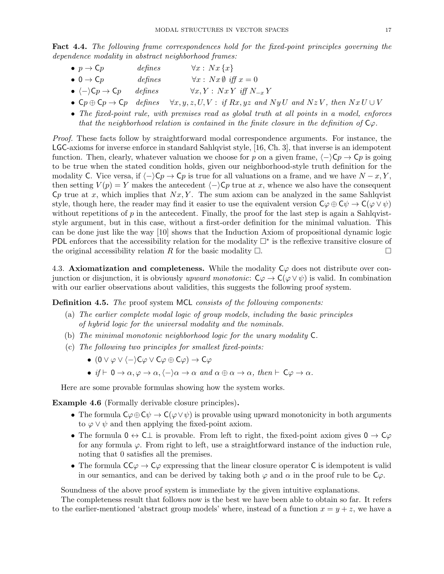Fact 4.4. The following frame correspondences hold for the fixed-point principles governing the dependence modality in abstract neighborhood frames:

| $p \rightarrow \mathsf{C}p$                           | defines | $\forall x : \, Nx\{x\}$                    |
|-------------------------------------------------------|---------|---------------------------------------------|
| $\bullet$ 0 $\rightarrow$ Cp                          | defines | $\forall x : Nx \emptyset \text{ iff } x=0$ |
| $\bullet \ \langle - \rangle$ C $p \rightarrow$ C $p$ | defines | $\forall x, Y : NxY \text{ iff } N_{-x}Y$   |

- $\mathsf{C}p \oplus \mathsf{C}p \rightarrow \mathsf{C}p$  defines  $\forall x, y, z, U, V : \text{if } Rx, yz \text{ and } NyU \text{ and } NzV, \text{ then } NxU \cup V$
- The fixed-point rule, with premises read as global truth at all points in a model, enforces that the neighborhood relation is contained in the finite closure in the definition of  $C\varphi$ .

Proof. These facts follow by straightforward modal correspondence arguments. For instance, the LGC-axioms for inverse enforce in standard Sahlqvist style, [16, Ch. 3], that inverse is an idempotent function. Then, clearly, whatever valuation we choose for p on a given frame,  $\langle -\rangle$ Cp  $\rightarrow$  Cp is going to be true when the stated condition holds, given our neighborhood-style truth definition for the modality C. Vice versa, if  $\langle -\rangle$ C $p \to Cp$  is true for all valuations on a frame, and we have  $N - x, Y$ , then setting  $V(p) = Y$  makes the antecedent  $\langle -\rangle$ Cp true at x, whence we also have the consequent  $C_p$  true at x, which implies that  $Nx, Y$ . The sum axiom can be analyzed in the same Sahlqvist style, though here, the reader may find it easier to use the equivalent version  $C\varphi \oplus C\psi \to C(\varphi \vee \psi)$ without repetitions of  $p$  in the antecedent. Finally, the proof for the last step is again a Sahlqviststyle argument, but in this case, without a first-order definition for the minimal valuation. This can be done just like the way [10] shows that the Induction Axiom of propositional dynamic logic PDL enforces that the accessibility relation for the modality  $\Box^*$  is the reflexive transitive closure of the original accessibility relation R for the basic modality  $\Box$ .

4.3. Axiomatization and completeness. While the modality  $C\varphi$  does not distribute over conjunction or disjunction, it is obviously upward monotonic:  $C\varphi \to C(\varphi \lor \psi)$  is valid. In combination with our earlier observations about validities, this suggests the following proof system.

Definition 4.5. The proof system MCL consists of the following components:

- (a) The earlier complete modal logic of group models, including the basic principles of hybrid logic for the universal modality and the nominals.
- (b) The minimal monotonic neighborhood logic for the unary modality C.
- (c) The following two principles for smallest fixed-points:
	- $(0 \vee \varphi \vee \langle -\rangle C\varphi \vee C\varphi \oplus C\varphi) \rightarrow C\varphi$
	- if  $\vdash$  0  $\rightarrow \alpha, \varphi \rightarrow \alpha, \langle -\rangle \alpha \rightarrow \alpha$  and  $\alpha \oplus \alpha \rightarrow \alpha$ , then  $\vdash$  C $\varphi \rightarrow \alpha$ .

Here are some provable formulas showing how the system works.

Example 4.6 (Formally derivable closure principles).

- The formula  $C\varphi \oplus C\psi \to C(\varphi \vee \psi)$  is provable using upward monotonicity in both arguments to  $\varphi \vee \psi$  and then applying the fixed-point axiom.
- The formula  $0 \leftrightarrow C\perp$  is provable. From left to right, the fixed-point axiom gives  $0 \to C\varphi$ for any formula  $\varphi$ . From right to left, use a straightforward instance of the induction rule, noting that 0 satisfies all the premises.
- The formula  $C\mathcal{L}\varphi \to \mathcal{L}\varphi$  expressing that the linear closure operator C is idempotent is valid in our semantics, and can be derived by taking both  $\varphi$  and  $\alpha$  in the proof rule to be  $\mathsf{C}\varphi$ .

Soundness of the above proof system is immediate by the given intuitive explanations.

The completeness result that follows now is the best we have been able to obtain so far. It refers to the earlier-mentioned 'abstract group models' where, instead of a function  $x = y + z$ , we have a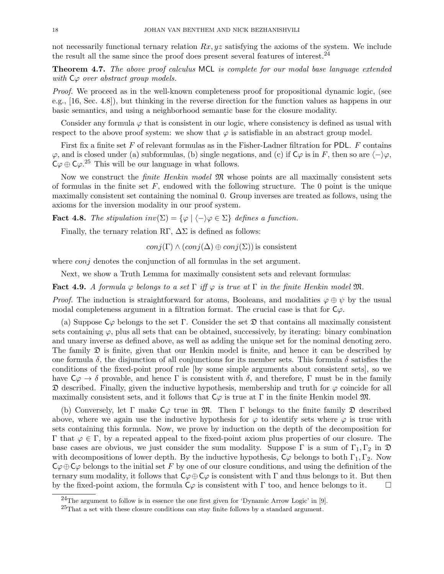not necessarily functional ternary relation  $Rx, yz$  satisfying the axioms of the system. We include the result all the same since the proof does present several features of interest.  $^{24}$ 

**Theorem 4.7.** The above proof calculus MCL is complete for our modal base language extended with  $C\varphi$  over abstract group models.

Proof. We proceed as in the well-known completeness proof for propositional dynamic logic, (see e.g., [16, Sec. 4.8]), but thinking in the reverse direction for the function values as happens in our basic semantics, and using a neighborhood semantic base for the closure modality.

Consider any formula  $\varphi$  that is consistent in our logic, where consistency is defined as usual with respect to the above proof system: we show that  $\varphi$  is satisfiable in an abstract group model.

First fix a finite set F of relevant formulas as in the Fisher-Ladner filtration for PDL.  $F$  contains  $\varphi$ , and is closed under (a) subformulas, (b) single negations, and (c) if  $\mathsf{C}\varphi$  is in F, then so are  $\langle -\rangle\varphi$ ,  $C\varphi \oplus C\varphi$ .<sup>25</sup> This will be our language in what follows.

Now we construct the *finite Henkin model*  $\mathfrak{M}$  whose points are all maximally consistent sets of formulas in the finite set  $F$ , endowed with the following structure. The 0 point is the unique maximally consistent set containing the nominal 0. Group inverses are treated as follows, using the axioms for the inversion modality in our proof system.

**Fact 4.8.** The stipulation inv( $\Sigma$ ) = { $\varphi \mid \langle - \rangle \varphi \in \Sigma$ } defines a function.

Finally, the ternary relation RΓ,  $\Delta\Sigma$  is defined as follows:

 $conj(\Gamma) \wedge (conj(\Delta) \oplus conj(\Sigma))$  is consistent

where *conj* denotes the conjunction of all formulas in the set argument.

Next, we show a Truth Lemma for maximally consistent sets and relevant formulas:

Fact 4.9. A formula  $\varphi$  belongs to a set  $\Gamma$  iff  $\varphi$  is true at  $\Gamma$  in the finite Henkin model  $\mathfrak{M}$ .

*Proof.* The induction is straightforward for atoms, Booleans, and modalities  $\varphi \oplus \psi$  by the usual modal completeness argument in a filtration format. The crucial case is that for  $C_{\varphi}$ .

(a) Suppose  $C\varphi$  belongs to the set  $\Gamma$ . Consider the set  $\mathfrak D$  that contains all maximally consistent sets containing  $\varphi$ , plus all sets that can be obtained, successively, by iterating: binary combination and unary inverse as defined above, as well as adding the unique set for the nominal denoting zero. The family  $\mathfrak D$  is finite, given that our Henkin model is finite, and hence it can be described by one formula  $\delta$ , the disjunction of all conjunctions for its member sets. This formula  $\delta$  satisfies the conditions of the fixed-point proof rule [by some simple arguments about consistent sets], so we have  $C\varphi \to \delta$  provable, and hence  $\Gamma$  is consistent with  $\delta$ , and therefore,  $\Gamma$  must be in the family  $\mathfrak D$  described. Finally, given the inductive hypothesis, membership and truth for  $\varphi$  coincide for all maximally consistent sets, and it follows that  $C\varphi$  is true at Γ in the finite Henkin model  $\mathfrak{M}$ .

(b) Conversely, let  $\Gamma$  make  $C\varphi$  true in  $\mathfrak{M}$ . Then  $\Gamma$  belongs to the finite family  $\mathfrak D$  described above, where we again use the inductive hypothesis for  $\varphi$  to identify sets where  $\varphi$  is true with sets containing this formula. Now, we prove by induction on the depth of the decomposition for Γ that  $\varphi \in \Gamma$ , by a repeated appeal to the fixed-point axiom plus properties of our closure. The base cases are obvious, we just consider the sum modality. Suppose  $\Gamma$  is a sum of  $\Gamma_1, \Gamma_2$  in  $\mathfrak{D}$ with decompositions of lower depth. By the inductive hypothesis,  $C\varphi$  belongs to both  $\Gamma_1, \Gamma_2$ . Now  $C\varphi \oplus C\varphi$  belongs to the initial set F by one of our closure conditions, and using the definition of the ternary sum modality, it follows that  $C\varphi \oplus C\varphi$  is consistent with  $\Gamma$  and thus belongs to it. But then by the fixed-point axiom, the formula  $C\varphi$  is consistent with  $\Gamma$  too, and hence belongs to it.

<sup>&</sup>lt;sup>24</sup>The argument to follow is in essence the one first given for 'Dynamic Arrow Logic' in [9].

 ${}^{25}$ That a set with these closure conditions can stay finite follows by a standard argument.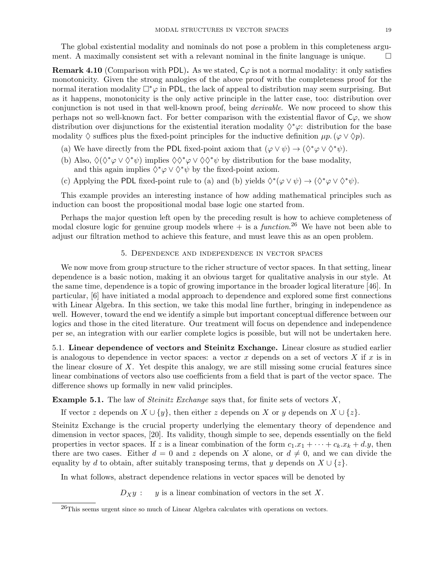The global existential modality and nominals do not pose a problem in this completeness argument. A maximally consistent set with a relevant nominal in the finite language is unique.  $\Box$ 

**Remark 4.10** (Comparison with PDL). As we stated,  $C\varphi$  is not a normal modality: it only satisfies monotonicity. Given the strong analogies of the above proof with the completeness proof for the normal iteration modality  $\Box^*\varphi$  in PDL, the lack of appeal to distribution may seem surprising. But as it happens, monotonicity is the only active principle in the latter case, too: distribution over conjunction is not used in that well-known proof, being *derivable*. We now proceed to show this perhaps not so well-known fact. For better comparison with the existential flavor of  $C\varphi$ , we show distribution over disjunctions for the existential iteration modality  $\Diamond^*\varphi$ : distribution for the base modality  $\Diamond$  suffices plus the fixed-point principles for the inductive definition  $\mu p \cdot (\varphi \vee \Diamond p)$ .

- (a) We have directly from the PDL fixed-point axiom that  $(\varphi \lor \psi) \to (\Diamond^* \varphi \lor \Diamond^* \psi)$ .
- (b) Also,  $\Diamond(\Diamond^*\varphi \vee \Diamond^*\psi)$  implies  $\Diamond\Diamond^*\varphi \vee \Diamond\Diamond^*\psi$  by distribution for the base modality, and this again implies  $\Diamond^*\varphi \vee \Diamond^*\psi$  by the fixed-point axiom.
- (c) Applying the PDL fixed-point rule to (a) and (b) yields  $\Diamond^*(\varphi \lor \psi) \to (\Diamond^*\varphi \lor \Diamond^*\psi)$ .

This example provides an interesting instance of how adding mathematical principles such as induction can boost the propositional modal base logic one started from.

Perhaps the major question left open by the preceding result is how to achieve completeness of modal closure logic for genuine group models where  $+$  is a *function*.<sup>26</sup> We have not been able to adjust our filtration method to achieve this feature, and must leave this as an open problem.

#### 5. Dependence and independence in vector spaces

We now move from group structure to the richer structure of vector spaces. In that setting, linear dependence is a basic notion, making it an obvious target for qualitative analysis in our style. At the same time, dependence is a topic of growing importance in the broader logical literature [46]. In particular, [6] have initiated a modal approach to dependence and explored some first connections with Linear Algebra. In this section, we take this modal line further, bringing in independence as well. However, toward the end we identify a simple but important conceptual difference between our logics and those in the cited literature. Our treatment will focus on dependence and independence per se, an integration with our earlier complete logics is possible, but will not be undertaken here.

5.1. Linear dependence of vectors and Steinitz Exchange. Linear closure as studied earlier is analogous to dependence in vector spaces: a vector x depends on a set of vectors X if  $x$  is in the linear closure of  $X$ . Yet despite this analogy, we are still missing some crucial features since linear combinations of vectors also use coefficients from a field that is part of the vector space. The difference shows up formally in new valid principles.

## **Example 5.1.** The law of *Steinitz Exchange* says that, for finite sets of vectors  $X$ ,

If vector z depends on  $X \cup \{y\}$ , then either z depends on X or y depends on  $X \cup \{z\}$ .

Steinitz Exchange is the crucial property underlying the elementary theory of dependence and dimension in vector spaces, [20]. Its validity, though simple to see, depends essentially on the field properties in vector spaces. If z is a linear combination of the form  $c_1.x_1 + \cdots + c_k.x_k + d.y$ , then there are two cases. Either  $d = 0$  and z depends on X alone, or  $d \neq 0$ , and we can divide the equality by d to obtain, after suitably transposing terms, that y depends on  $X \cup \{z\}$ .

In what follows, abstract dependence relations in vector spaces will be denoted by

 $D_X y$ : y is a linear combination of vectors in the set X.

<sup>26</sup>This seems urgent since so much of Linear Algebra calculates with operations on vectors.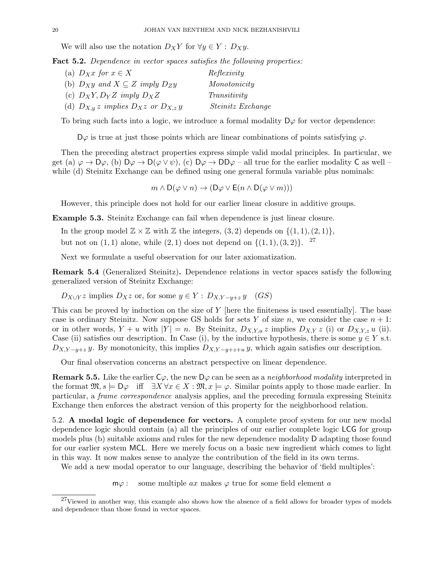We will also use the notation  $D_XY$  for  $\forall y \in Y : D_Xy$ .

Fact 5.2. Dependence in vector spaces satisfies the following properties:

| (a) $D_Xx$ for $x \in X$                       | Reflexivity              |
|------------------------------------------------|--------------------------|
| (b) $D_X y$ and $X \subseteq Z$ imply $D_Z y$  | Monotonicity             |
| (c) $D_XY, D_YZ$ imply $D_XZ$                  | Transitivity             |
| (d) $D_{X,y} z$ implies $D_X z$ or $D_{X,z} y$ | <i>Steinitz Exchange</i> |

To bring such facts into a logic, we introduce a formal modality  $D\varphi$  for vector dependence:

 $D\varphi$  is true at just those points which are linear combinations of points satisfying  $\varphi$ .

Then the preceding abstract properties express simple valid modal principles. In particular, we get (a)  $\varphi \to D\varphi$ , (b)  $D\varphi \to D(\varphi \vee \psi)$ , (c)  $D\varphi \to DD\varphi$  – all true for the earlier modality C as well – while (d) Steinitz Exchange can be defined using one general formula variable plus nominals:

 $m \wedge D(\varphi \vee n) \rightarrow (D\varphi \vee E(n \wedge D(\varphi \vee m)))$ 

However, this principle does not hold for our earlier linear closure in additive groups.

Example 5.3. Steinitz Exchange can fail when dependence is just linear closure.

In the group model  $\mathbb{Z} \times \mathbb{Z}$  with  $\mathbb{Z}$  the integers,  $(3, 2)$  depends on  $\{(1, 1), (2, 1)\},$ 

but not on  $(1, 1)$  alone, while  $(2, 1)$  does not depend on  $\{(1, 1), (3, 2)\}\text{.}$ <sup>27</sup>

Next we formulate a useful observation for our later axiomatization.

Remark 5.4 (Generalized Steinitz). Dependence relations in vector spaces satisfy the following generalized version of Steinitz Exchange:

 $D_{X\cup Y}z$  implies  $D_Xz$  or, for some  $y\in Y: D_{X,Y-y+z}y$  (GS)

This can be proved by induction on the size of  $Y$  [here the finiteness is used essentially]. The base case is ordinary Steinitz. Now suppose GS holds for sets Y of size n, we consider the case  $n + 1$ : or in other words,  $Y + u$  with  $|Y| = n$ . By Steinitz,  $D_{X,Y,u} z$  implies  $D_{X,Y} z$  (i) or  $D_{X,Y,z} u$  (ii). Case (ii) satisfies our description. In Case (i), by the inductive hypothesis, there is some  $y \in Y$  s.t.  $D_{X,Y-y+z}$  y. By monotonicity, this implies  $D_{X,Y-y+z+u}$  y, which again satisfies our description.

Our final observation concerns an abstract perspective on linear dependence.

**Remark 5.5.** Like the earlier  $C\varphi$ , the new  $D\varphi$  can be seen as a *neighborhood modality* interpreted in the format  $\mathfrak{M}, s \models D\varphi$  iff  $\exists X \forall x \in X : \mathfrak{M}, x \models \varphi$ . Similar points apply to those made earlier. In particular, a frame correspondence analysis applies, and the preceding formula expressing Steinitz Exchange then enforces the abstract version of this property for the neighborhood relation.

5.2. A modal logic of dependence for vectors. A complete proof system for our new modal dependence logic should contain (a) all the principles of our earlier complete logic LCG for group models plus (b) suitable axioms and rules for the new dependence modality D adapting those found for our earlier system MCL. Here we merely focus on a basic new ingredient which comes to light in this way. It now makes sense to analyze the contribution of the field in its own terms.

We add a new modal operator to our language, describing the behavior of 'field multiples':

 $m\varphi$ : some multiple ax makes  $\varphi$  true for some field element a

<sup>&</sup>lt;sup>27</sup>Viewed in another way, this example also shows how the absence of a field allows for broader types of models and dependence than those found in vector spaces.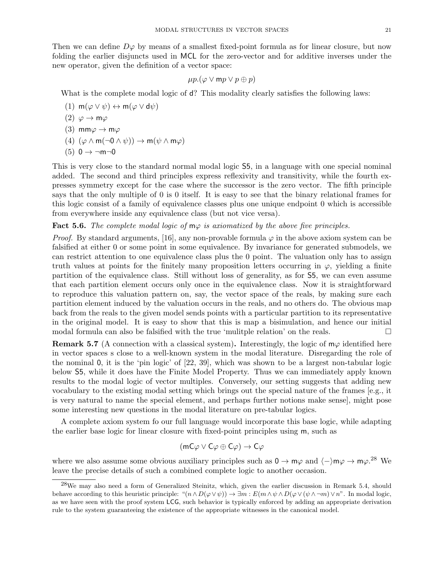Then we can define  $D\varphi$  by means of a smallest fixed-point formula as for linear closure, but now folding the earlier disjuncts used in MCL for the zero-vector and for additive inverses under the new operator, given the definition of a vector space:

$$
\mu p.(\varphi \vee \textsf{m}p \vee p \oplus p)
$$

What is the complete modal logic of d? This modality clearly satisfies the following laws:

- (1)  $m(\varphi \lor \psi) \leftrightarrow m(\varphi \lor d\psi)$
- (2)  $\varphi \to m\varphi$
- (3) mm $\varphi \to m\varphi$
- (4)  $(\varphi \wedge m(\neg 0 \wedge \psi)) \rightarrow m(\psi \wedge m\varphi)$
- $(5)$  0  $\rightarrow$   $\neg m\neg 0$

This is very close to the standard normal modal logic S5, in a language with one special nominal added. The second and third principles express reflexivity and transitivity, while the fourth expresses symmetry except for the case where the successor is the zero vector. The fifth principle says that the only multiple of 0 is 0 itself. It is easy to see that the binary relational frames for this logic consist of a family of equivalence classes plus one unique endpoint 0 which is accessible from everywhere inside any equivalence class (but not vice versa).

#### **Fact 5.6.** The complete modal logic of  $m\varphi$  is axiomatized by the above five principles.

*Proof.* By standard arguments, [16], any non-provable formula  $\varphi$  in the above axiom system can be falsified at either 0 or some point in some equivalence. By invariance for generated submodels, we can restrict attention to one equivalence class plus the 0 point. The valuation only has to assign truth values at points for the finitely many proposition letters occurring in  $\varphi$ , yielding a finite partition of the equivalence class. Still without loss of generality, as for S5, we can even assume that each partition element occurs only once in the equivalence class. Now it is straightforward to reproduce this valuation pattern on, say, the vector space of the reals, by making sure each partition element induced by the valuation occurs in the reals, and no others do. The obvious map back from the reals to the given model sends points with a particular partition to its representative in the original model. It is easy to show that this is map a bisimulation, and hence our initial modal formula can also be falsified with the true 'mulitple relation' on the reals.

**Remark 5.7** (A connection with a classical system). Interestingly, the logic of  $m\varphi$  identified here in vector spaces s close to a well-known system in the modal literature. Disregarding the role of the nominal 0, it is the 'pin logic' of [22, 39], which was shown to be a largest non-tabular logic below S5, while it does have the Finite Model Property. Thus we can immediately apply known results to the modal logic of vector multiples. Conversely, our setting suggests that adding new vocabulary to the existing modal setting which brings out the special nature of the frames [e.g., it is very natural to name the special element, and perhaps further notions make sense], might pose some interesting new questions in the modal literature on pre-tabular logics.

A complete axiom system fo our full language would incorporate this base logic, while adapting the earlier base logic for linear closure with fixed-point principles using m, such as

$$
(\mathsf{mC}\varphi \lor \mathsf{C}\varphi \oplus \mathsf{C}\varphi) \to \mathsf{C}\varphi
$$

where we also assume some obvious auxiliary principles such as  $0 \to m\varphi$  and  $\langle -\rangle m\varphi \to m\varphi$ .<sup>28</sup> We leave the precise details of such a combined complete logic to another occasion.

<sup>28</sup>We may also need a form of Generalized Steinitz, which, given the earlier discussion in Remark 5.4, should behave according to this heuristic principle: " $(n \wedge D(\varphi \vee \psi)) \rightarrow \exists m : E(m \wedge \psi \wedge D(\varphi \vee (\psi \wedge \neg m) \vee n$ ". In modal logic, as we have seen with the proof system LCG, such behavior is typically enforced by adding an appropriate derivation rule to the system guaranteeing the existence of the appropriate witnesses in the canonical model.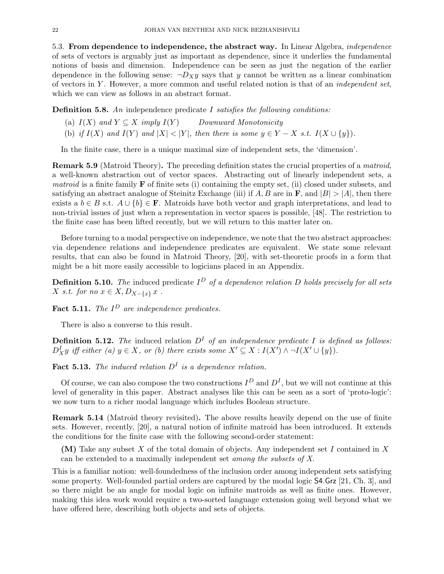5.3. From dependence to independence, the abstract way. In Linear Algebra, independence of sets of vectors is arguably just as important as dependence, since it underlies the fundamental notions of basis and dimension. Independence can be seen as just the negation of the earlier dependence in the following sense:  $\neg D_X y$  says that y cannot be written as a linear combination of vectors in Y. However, a more common and useful related notion is that of an *independent set*, which we can view as follows in an abstract format.

**Definition 5.8.** An independence predicate I satisfies the following conditions:

- (a)  $I(X)$  and  $Y \subseteq X$  imply  $I(Y)$  Downward Monotonicity
- (b) if  $I(X)$  and  $I(Y)$  and  $|X| < |Y|$ , then there is some  $y \in Y X$  s.t.  $I(X \cup \{y\})$ .

In the finite case, there is a unique maximal size of independent sets, the 'dimension'.

Remark 5.9 (Matroid Theory). The preceding definition states the crucial properties of a matroid, a well-known abstraction out of vector spaces. Abstracting out of linearly independent sets, a *matroid* is a finite family  $\bf{F}$  of finite sets (i) containing the empty set, (ii) closed under subsets, and satisfying an abstract analogue of Steinitz Exchange (iii) if A, B are in  $\bf{F}$ , and  $|B| > |A|$ , then there exists a  $b \in B$  s.t.  $A \cup \{b\} \in \mathbf{F}$ . Matroids have both vector and graph interpretations, and lead to non-trivial issues of just when a representation in vector spaces is possible, [48]. The restriction to the finite case has been lifted recently, but we will return to this matter later on.

Before turning to a modal perspective on independence, we note that the two abstract approaches: via dependence relations and independence predicates are equivalent. We state some relevant results, that can also be found in Matroid Theory, [20], with set-theoretic proofs in a form that might be a bit more easily accessible to logicians placed in an Appendix.

**Definition 5.10.** The induced predicate  $I^D$  of a dependence relation D holds precisely for all sets X s.t. for no  $x \in X, D_{X-\{x\}}x$ .

**Fact 5.11.** The  $I^D$  are independence predicates.

There is also a converse to this result.

**Definition 5.12.** The induced relation  $D<sup>I</sup>$  of an independence predicate I is defined as follows:  $D_X^I y$  iff either (a)  $y \in X$ , or (b) there exists some  $X' \subseteq X : I(X') \wedge \neg I(X' \cup \{y\}).$ 

**Fact 5.13.** The induced relation  $D<sup>I</sup>$  is a dependence relation.

Of course, we can also compose the two constructions  $I^D$  and  $D^I$ , but we will not continue at this level of generality in this paper. Abstract analyses like this can be seen as a sort of 'proto-logic': we now turn to a richer modal language which includes Boolean structure.

Remark 5.14 (Matroid theory revisited). The above results heavily depend on the use of finite sets. However, recently, [20], a natural notion of infinite matroid has been introduced. It extends the conditions for the finite case with the following second-order statement:

(M) Take any subset X of the total domain of objects. Any independent set I contained in X can be extended to a maximally independent set among the subsets of X.

This is a familiar notion: well-foundedness of the inclusion order among independent sets satisfying some property. Well-founded partial orders are captured by the modal logic S4.Grz [21, Ch. 3], and so there might be an angle for modal logic on infinite matroids as well as finite ones. However, making this idea work would require a two-sorted language extension going well beyond what we have offered here, describing both objects and sets of objects.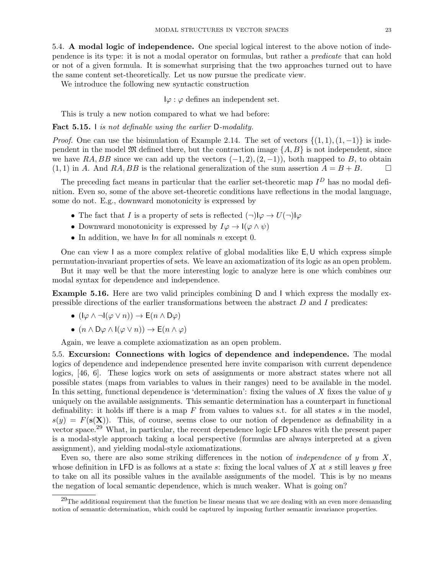5.4. A modal logic of independence. One special logical interest to the above notion of independence is its type: it is not a modal operator on formulas, but rather a predicate that can hold or not of a given formula. It is somewhat surprising that the two approaches turned out to have the same content set-theoretically. Let us now pursue the predicate view.

We introduce the following new syntactic construction

 $I\varphi : \varphi$  defines an independent set.

This is truly a new notion compared to what we had before:

Fact 5.15. I is not definable using the earlier D-modality.

*Proof.* One can use the bisimulation of Example 2.14. The set of vectors  $\{(1,1),(1,-1)\}$  is independent in the model  $\mathfrak{M}$  defined there, but the contraction image  $\{A, B\}$  is not independent, since we have RA, BB since we can add up the vectors  $(-1, 2), (2, -1)$ , both mapped to B, to obtain  $(1, 1)$  in A. And RA, BB is the relational generalization of the sum assertion  $A = B + B$ .

The preceding fact means in particular that the earlier set-theoretic map  $I^D$  has no modal definition. Even so, some of the above set-theoretic conditions have reflections in the modal language, some do not. E.g., downward monotonicity is expressed by

- The fact that I is a property of sets is reflected  $(\neg) \mathsf{I} \varphi \to U(\neg) \mathsf{I} \varphi$
- Downward monotonicity is expressed by  $I\varphi \to I(\varphi \wedge \psi)$
- In addition, we have  $\ln$  for all nominals n except 0.

One can view I as a more complex relative of global modalities like E,U which express simple permutation-invariant properties of sets. We leave an axiomatization of its logic as an open problem.

But it may well be that the more interesting logic to analyze here is one which combines our modal syntax for dependence and independence.

Example 5.16. Here are two valid principles combining D and I which express the modally expressible directions of the earlier transformations between the abstract D and I predicates:

- $(|\varphi \wedge \neg I(\varphi \vee n)) \rightarrow E(n \wedge D\varphi)$
- $(n \wedge D\varphi \wedge I(\varphi \vee n)) \rightarrow E(n \wedge \varphi)$

Again, we leave a complete axiomatization as an open problem.

5.5. Excursion: Connections with logics of dependence and independence. The modal logics of dependence and independence presented here invite comparison with current dependence logics, [46, 6]. These logics work on sets of assignments or more abstract states where not all possible states (maps from variables to values in their ranges) need to be available in the model. In this setting, functional dependence is 'determination': fixing the values of X fixes the value of  $y$ uniquely on the available assignments. This semantic determination has a counterpart in functional definability: it holds iff there is a map  $F$  from values to values s.t. for all states  $s$  in the model,  $s(y) = F(s(\mathbf{X}))$ . This, of course, seems close to our notion of dependence as definability in a vector space.<sup>29</sup> What, in particular, the recent dependence logic LFD shares with the present paper is a modal-style approach taking a local perspective (formulas are always interpreted at a given assignment), and yielding modal-style axiomatizations.

Even so, there are also some striking differences in the notion of *independence* of  $y$  from  $X$ . whose definition in LFD is as follows at a state s: fixing the local values of X at s still leaves  $\eta$  free to take on all its possible values in the available assignments of the model. This is by no means the negation of local semantic dependence, which is much weaker. What is going on?

 $^{29}$ The additional requirement that the function be linear means that we are dealing with an even more demanding notion of semantic determination, which could be captured by imposing further semantic invariance properties.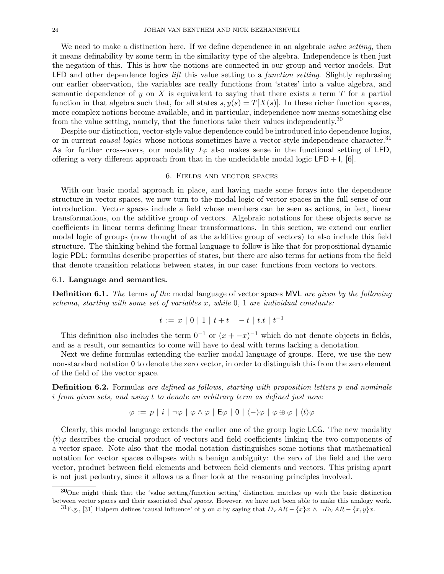We need to make a distinction here. If we define dependence in an algebraic value setting, then it means definability by some term in the similarity type of the algebra. Independence is then just the negation of this. This is how the notions are connected in our group and vector models. But LFD and other dependence logics *lift* this value setting to a *function setting*. Slightly rephrasing our earlier observation, the variables are really functions from 'states' into a value algebra, and semantic dependence of y on X is equivalent to saying that there exists a term  $T$  for a partial function in that algebra such that, for all states  $s, y(s) = T[X(s)]$ . In these richer function spaces, more complex notions become available, and in particular, independence now means something else from the value setting, namely, that the functions take their values independently.<sup>30</sup>

Despite our distinction, vector-style value dependence could be introduced into dependence logics, or in current *causal logics* whose notions sometimes have a vector-style independence character.<sup>31</sup> As for further cross-overs, our modality  $I\varphi$  also makes sense in the functional setting of LFD, offering a very different approach from that in the undecidable modal logic  $\text{LFD} + I$ , [6].

#### 6. Fields and vector spaces

With our basic modal approach in place, and having made some forays into the dependence structure in vector spaces, we now turn to the modal logic of vector spaces in the full sense of our introduction. Vector spaces include a field whose members can be seen as actions, in fact, linear transformations, on the additive group of vectors. Algebraic notations for these objects serve as coefficients in linear terms defining linear transformations. In this section, we extend our earlier modal logic of groups (now thought of as the additive group of vectors) to also include this field structure. The thinking behind the formal language to follow is like that for propositional dynamic logic PDL: formulas describe properties of states, but there are also terms for actions from the field that denote transition relations between states, in our case: functions from vectors to vectors.

#### 6.1. Language and semantics.

**Definition 6.1.** The terms of the modal language of vector spaces MVL are given by the following schema, starting with some set of variables  $x$ , while  $0, 1$  are individual constants:

$$
t := x \mid 0 \mid 1 \mid t + t \mid -t \mid t \cdot t \mid t^{-1}
$$

This definition also includes the term  $0^{-1}$  or  $(x + -x)^{-1}$  which do not denote objects in fields, and as a result, our semantics to come will have to deal with terms lacking a denotation.

Next we define formulas extending the earlier modal language of groups. Here, we use the new non-standard notation 0 to denote the zero vector, in order to distinguish this from the zero element of the field of the vector space.

Definition 6.2. Formulas are defined as follows, starting with proposition letters p and nominals i from given sets, and using t to denote an arbitrary term as defined just now:

$$
\varphi := p \mid i \mid \neg \varphi \mid \varphi \wedge \varphi \mid \mathsf{E} \varphi \mid 0 \mid \langle - \rangle \varphi \mid \varphi \oplus \varphi \mid \langle t \rangle \varphi
$$

Clearly, this modal language extends the earlier one of the group logic LCG. The new modality  $\langle t \rangle \varphi$  describes the crucial product of vectors and field coefficients linking the two components of a vector space. Note also that the modal notation distinguishes some notions that mathematical notation for vector spaces collapses with a benign ambiguity: the zero of the field and the zero vector, product between field elements and between field elements and vectors. This prising apart is not just pedantry, since it allows us a finer look at the reasoning principles involved.

<sup>30</sup>One might think that the 'value setting/function setting' distinction matches up with the basic distinction between vector spaces and their associated *dual spaces*. However, we have not been able to make this analogy work.

<sup>&</sup>lt;sup>31</sup>E.g., [31] Halpern defines 'causal influence' of y on x by saying that  $D_V AR - \{x\}x \wedge \neg D_V AR - \{x, y\}x$ .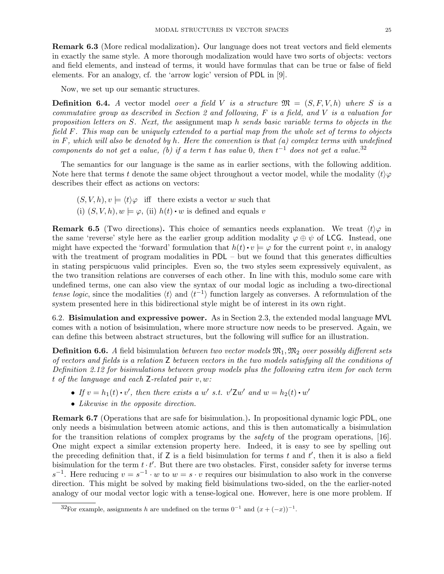Remark 6.3 (More redical modalization). Our language does not treat vectors and field elements in exactly the same style. A more thorough modalization would have two sorts of objects: vectors and field elements, and instead of terms, it would have formulas that can be true or false of field elements. For an analogy, cf. the 'arrow logic' version of PDL in [9].

Now, we set up our semantic structures.

**Definition 6.4.** A vector model over a field V is a structure  $\mathfrak{M} = (S, F, V, h)$  where S is a commutative group as described in Section 2 and following, F is a field, and V is a valuation for proposition letters on S. Next, the assignment map h sends basic variable terms to objects in the field F. This map can be uniquely extended to a partial map from the whole set of terms to objects in F, which will also be denoted by h. Here the convention is that  $(a)$  complex terms with undefined components do not get a value, (b) if a term t has value 0, then  $t^{-1}$  does not get a value.<sup>32</sup>

The semantics for our language is the same as in earlier sections, with the following addition. Note here that terms t denote the same object throughout a vector model, while the modality  $\langle t \rangle \varphi$ describes their effect as actions on vectors:

- $(S, V, h), v \models \langle t \rangle \varphi$  iff there exists a vector w such that
- (i)  $(S, V, h), w \models \varphi$ , (ii)  $h(t) \cdot w$  is defined and equals v

**Remark 6.5** (Two directions). This choice of semantics needs explanation. We treat  $\langle t \rangle \varphi$  in the same 'reverse' style here as the earlier group addition modality  $\varphi \oplus \psi$  of LCG. Instead, one might have expected the 'forward' formulation that  $h(t) \cdot v \models \varphi$  for the current point v, in analogy with the treatment of program modalities in  $PDL - but$  we found that this generates difficulties in stating perspicuous valid principles. Even so, the two styles seem expressively equivalent, as the two transition relations are converses of each other. In line with this, modulo some care with undefined terms, one can also view the syntax of our modal logic as including a two-directional tense logic, since the modalities  $\langle t \rangle$  and  $\langle t^{-1} \rangle$  function largely as converses. A reformulation of the system presented here in this bidirectional style might be of interest in its own right.

6.2. Bisimulation and expressive power. As in Section 2.3, the extended modal language MVL comes with a notion of bsisimulation, where more structure now needs to be preserved. Again, we can define this between abstract structures, but the following will suffice for an illustration.

**Definition 6.6.** A field bisimulation between two vector models  $\mathfrak{M}_1, \mathfrak{M}_2$  over possibly different sets of vectors and fields is a relation Z between vectors in the two models satisfying all the conditions of Definition 2.12 for bisimulations between group models plus the following extra item for each term t of the language and each  $Z$ -related pair  $v, w$ :

- If  $v = h_1(t) \cdot v'$ , then there exists a w' s.t.  $v'Zw'$  and  $w = h_2(t) \cdot w'$
- Likewise in the opposite direction.

Remark 6.7 (Operations that are safe for bisimulation.). In propositional dynamic logic PDL, one only needs a bisimulation between atomic actions, and this is then automatically a bisimulation for the transition relations of complex programs by the safety of the program operations, [16]. One might expect a similar extension property here. Indeed, it is easy to see by spelling out the preceding definition that, if  $Z$  is a field bisimulation for terms  $t$  and  $t'$ , then it is also a field bisimulation for the term  $t \cdot t'$ . But there are two obstacles. First, consider safety for inverse terms  $s^{-1}$ . Here reducing  $v = s^{-1} \cdot w$  to  $w = s \cdot v$  requires our bisimulation to also work in the converse direction. This might be solved by making field bisimulations two-sided, on the the earlier-noted analogy of our modal vector logic with a tense-logical one. However, here is one more problem. If

<sup>&</sup>lt;sup>32</sup>For example, assignments h are undefined on the terms  $0^{-1}$  and  $(x + (-x))^{-1}$ .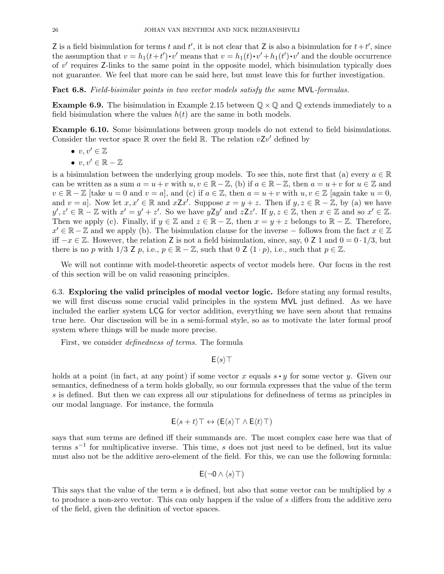Z is a field bisimulation for terms t and t', it is not clear that Z is also a bisimulation for  $t+t'$ , since the assumption that  $v = h_1(t+t') \cdot v'$  means that  $v = h_1(t) \cdot v' + h_1(t') \cdot v'$  and the double occurrence of  $v'$  requires Z-links to the same point in the opposite model, which bisimulation typically does not guarantee. We feel that more can be said here, but must leave this for further investigation.

Fact 6.8. Field-bisimilar points in two vector models satisfy the same MVL-formulas.

**Example 6.9.** The bisimulation in Example 2.15 between  $\mathbb{Q} \times \mathbb{Q}$  and  $\mathbb{Q}$  extends immediately to a field bisimulation where the values  $h(t)$  are the same in both models.

Example 6.10. Some bisimulations between group models do not extend to field bisimulations. Consider the vector space  $\mathbb R$  over the field  $\mathbb R$ . The relation  $vZv'$  defined by

- $v, v' \in \mathbb{Z}$
- $v, v' \in \mathbb{R} \mathbb{Z}$

is a bisimulation between the underlying group models. To see this, note first that (a) every  $a \in \mathbb{R}$ can be written as a sum  $a = u + v$  with  $u, v \in \mathbb{R} - \mathbb{Z}$ , (b) if  $a \in \mathbb{R} - \mathbb{Z}$ , then  $a = u + v$  for  $u \in \mathbb{Z}$  and  $v \in \mathbb{R} - \mathbb{Z}$  [take  $u = 0$  and  $v = a$ ], and (c) if  $a \in \mathbb{Z}$ , then  $a = u + v$  with  $u, v \in \mathbb{Z}$  [again take  $u = 0$ , and  $v = a$ . Now let  $x, x' \in \mathbb{R}$  and  $x \cdot \mathbb{Z}x'$ . Suppose  $x = y + z$ . Then if  $y, z \in \mathbb{R} - \mathbb{Z}$ , by (a) we have  $y', z' \in \mathbb{R} - \mathbb{Z}$  with  $x' = y' + z'$ . So we have  $yZy'$  and  $zZz'$ . If  $y, z \in \mathbb{Z}$ , then  $x \in \mathbb{Z}$  and so  $x' \in \mathbb{Z}$ . Then we apply (c). Finally, if  $y \in \mathbb{Z}$  and  $z \in \mathbb{R} - \mathbb{Z}$ , then  $x = y + z$  belongs to  $\mathbb{R} - \mathbb{Z}$ . Therefore,  $x' \in \mathbb{R} - \mathbb{Z}$  and we apply (b). The bisimulation clause for the inverse – follows from the fact  $x \in \mathbb{Z}$ iff  $-x \in \mathbb{Z}$ . However, the relation Z is not a field bisimulation, since, say, 0 Z 1 and  $0 = 0 \cdot 1/3$ , but there is no p with  $1/3$  Z p, i.e.,  $p \in \mathbb{R} - \mathbb{Z}$ , such that  $0 \n\mathbb{Z} (1 \cdot p)$ , i.e., such that  $p \in \mathbb{Z}$ .

We will not continue with model-theoretic aspects of vector models here. Our focus in the rest of this section will be on valid reasoning principles.

6.3. Exploring the valid principles of modal vector logic. Before stating any formal results, we will first discuss some crucial valid principles in the system MVL just defined. As we have included the earlier system LCG for vector addition, everything we have seen about that remains true here. Our discussion will be in a semi-formal style, so as to motivate the later formal proof system where things will be made more precise.

First, we consider definedness of terms. The formula

 $E\langle s \rangle$ T

holds at a point (in fact, at any point) if some vector x equals  $s \cdot y$  for some vector y. Given our semantics, definedness of a term holds globally, so our formula expresses that the value of the term s is defined. But then we can express all our stipulations for definedness of terms as principles in our modal language. For instance, the formula

$$
\mathsf{E}\langle s+t\rangle\top \leftrightarrow (\mathsf{E}\langle s\rangle\top \wedge \mathsf{E}\langle t\rangle\top)
$$

says that sum terms are defined iff their summands are. The most complex case here was that of terms  $s^{-1}$  for multiplicative inverse. This time, s does not just need to be defined, but its value must also not be the additive zero-element of the field. For this, we can use the following formula:

$$
E(\neg 0 \wedge \langle s \rangle \top)
$$

This says that the value of the term s is defined, but also that some vector can be multiplied by s to produce a non-zero vector. This can only happen if the value of s differs from the additive zero of the field, given the definition of vector spaces.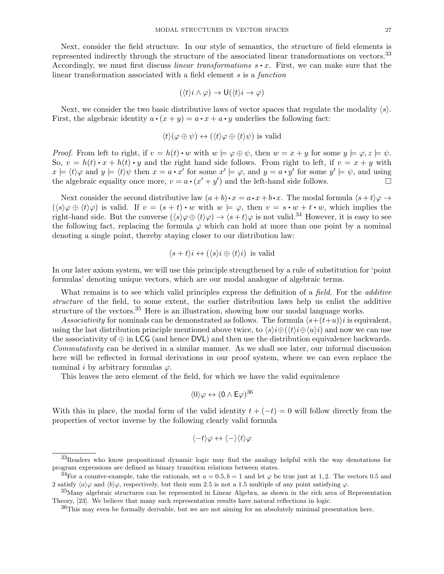Next, consider the field structure. In our style of semantics, the structure of field elements is represented indirectly through the structure of the associated linear transformations on vectors.<sup>33</sup> Accordingly, we must first discuss *linear transformations*  $s \cdot x$ . First, we can make sure that the linear transformation associated with a field element s is a function

$$
(\langle t \rangle i \wedge \varphi) \rightarrow \mathsf{U}(\langle t \rangle i \rightarrow \varphi)
$$

Next, we consider the two basic distributive laws of vector spaces that regulate the modality  $\langle s \rangle$ . First, the algebraic identity  $a \cdot (x + y) = a \cdot x + a \cdot y$  underlies the following fact:

$$
\langle t \rangle (\varphi \oplus \psi) \leftrightarrow (\langle t \rangle \varphi \oplus \langle t \rangle \psi)
$$
 is valid

*Proof.* From left to right, if  $v = h(t) \cdot w$  with  $w \models \varphi \oplus \psi$ , then  $w = x + y$  for some  $y \models \varphi, z \models \psi$ . So,  $v = h(t) \cdot x + h(t) \cdot y$  and the right hand side follows. From right to left, if  $v = x + y$  with  $x \models \langle t \rangle \varphi$  and  $y \models \langle t \rangle \psi$  then  $x = a \cdot x'$  for some  $x' \models \varphi$ , and  $y = a \cdot y'$  for some  $y' \models \psi$ , and using the algebraic equality once more,  $v = a \cdot (x' + y')$  and the left-hand side follows.

Next consider the second distributive law  $(a+b)\cdot x = a\cdot x + b\cdot x$ . The modal formula  $\langle s+t\rangle\varphi \rightarrow$  $(\langle s \rangle \varphi \oplus \langle t \rangle \varphi)$  is valid. If  $v = (s + t) \cdot w$  with  $w \models \varphi$ , then  $v = s \cdot w + t \cdot w$ , which implies the right-hand side. But the converse  $(\langle s \rangle \varphi \oplus \langle t \rangle \varphi) \rightarrow \langle s + t \rangle \varphi$  is not valid.<sup>34</sup> However, it is easy to see the following fact, replacing the formula  $\varphi$  which can hold at more than one point by a nominal denoting a single point, thereby staying closer to our distribution law:

$$
\langle s+t\rangle i \leftrightarrow (\langle s\rangle i \oplus \langle t\rangle i)
$$
 is valid

In our later axiom system, we will use this principle strengthened by a rule of substitution for 'point formulas' denoting unique vectors, which are our modal analogue of algebraic terms.

What remains is to see which valid principles express the definition of a *field*. For the *additive* structure of the field, to some extent, the earlier distribution laws help us enlist the additive structure of the vectors.<sup>35</sup> Here is an illustration, showing how our modal language works.

Associativity for nominals can be demonstrated as follows. The formula  $\langle s+(t+u)\rangle$  is equivalent, using the last distribution principle mentioned above twice, to  $\langle s \rangle i \oplus (\langle t \rangle i \oplus \langle u \rangle i)$  and now we can use the associativity of  $\oplus$  in LCG (and hence DVL) and then use the distribution equivalence backwards. Commutativity can be derived in a similar manner. As we shall see later, our informal discussion here will be reflected in formal derivations in our proof system, where we can even replace the nominal *i* by arbitrary formulas  $\varphi$ .

This leaves the zero element of the field, for which we have the valid equivalence

$$
\langle 0 \rangle \varphi \leftrightarrow (0 \wedge \mathsf{E} \varphi)^{36}
$$

With this in place, the modal form of the valid identity  $t + (-t) = 0$  will follow directly from the properties of vector inverse by the following clearly valid formula

$$
\langle -t \rangle \varphi \leftrightarrow \langle - \rangle \langle t \rangle \varphi
$$

<sup>33</sup>Readers who know propositional dynamic logic may find the analogy helpful with the way denotations for program expressions are defined as binary transition relations between states.

<sup>&</sup>lt;sup>34</sup>For a counter-example, take the rationals, set  $a = 0.5, b = 1$  and let  $\varphi$  be true just at 1,2. The vectors 0.5 and 2 satisfy  $\langle a \rangle \varphi$  and  $\langle b \rangle \varphi$ , respectively, but their sum 2.5 is not a 1.5 multiple of any point satisfying  $\varphi$ .

<sup>35</sup>Many algebraic structures can be represented in Linear Algebra, as shown in the rich area of Representation Theory, [23]. We believe that many such representation results have natural reflections in logic.

<sup>&</sup>lt;sup>36</sup>This may even be formally derivable, but we are not aiming for an absolutely minimal presentation here.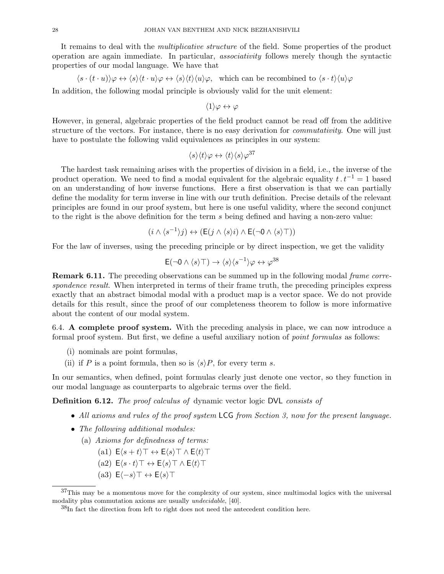It remains to deal with the *multiplicative structure* of the field. Some properties of the product operation are again immediate. In particular, associativity follows merely though the syntactic properties of our modal language. We have that

$$
\langle s \cdot (t \cdot u) \rangle \varphi \leftrightarrow \langle s \rangle \langle t \cdot u \rangle \varphi \leftrightarrow \langle s \rangle \langle t \rangle \langle u \rangle \varphi
$$
, which can be recombined to  $\langle s \cdot t \rangle \langle u \rangle \varphi$ 

In addition, the following modal principle is obviously valid for the unit element:

 $\langle 1 \rangle \varphi \leftrightarrow \varphi$ 

However, in general, algebraic properties of the field product cannot be read off from the additive structure of the vectors. For instance, there is no easy derivation for *commutativity*. One will just have to postulate the following valid equivalences as principles in our system:

$$
\langle s \rangle \langle t \rangle \varphi \leftrightarrow \langle t \rangle \langle s \rangle \varphi^{37}
$$

The hardest task remaining arises with the properties of division in a field, i.e., the inverse of the product operation. We need to find a modal equivalent for the algebraic equality  $t \cdot t^{-1} = 1$  based on an understanding of how inverse functions. Here a first observation is that we can partially define the modality for term inverse in line with our truth definition. Precise details of the relevant principles are found in our proof system, but here is one useful validity, where the second conjunct to the right is the above definition for the term s being defined and having a non-zero value:

$$
(i \wedge \langle s^{-1} \rangle j) \leftrightarrow (\mathsf{E}(j \wedge \langle s \rangle i) \wedge \mathsf{E}(\neg 0 \wedge \langle s \rangle \top))
$$

For the law of inverses, using the preceding principle or by direct inspection, we get the validity

$$
E(\neg 0 \land \langle s \rangle \top) \to \langle s \rangle \langle s^{-1} \rangle \varphi \leftrightarrow \varphi^{38}
$$

**Remark 6.11.** The preceding observations can be summed up in the following modal *frame corre*spondence result. When interpreted in terms of their frame truth, the preceding principles express exactly that an abstract bimodal modal with a product map is a vector space. We do not provide details for this result, since the proof of our completeness theorem to follow is more informative about the content of our modal system.

6.4. A complete proof system. With the preceding analysis in place, we can now introduce a formal proof system. But first, we define a useful auxiliary notion of *point formulas* as follows:

- (i) nominals are point formulas,
- (ii) if P is a point formula, then so is  $\langle s \rangle P$ , for every term s.

In our semantics, when defined, point formulas clearly just denote one vector, so they function in our modal language as counterparts to algebraic terms over the field.

Definition 6.12. The proof calculus of dynamic vector logic DVL consists of

- All axioms and rules of the proof system LCG from Section 3, now for the present language.
- The following additional modules:
	- (a) Axioms for definedness of terms:
		- (a1)  $E\langle s+t\rangle \top \leftrightarrow E\langle s\rangle \top \wedge E\langle t\rangle \top$
		- (a2)  $E\langle s \cdot t \rangle \top \leftrightarrow E\langle s \rangle \top \wedge E\langle t \rangle \top$
		- (a3)  $E\langle -s \rangle \top \leftrightarrow E\langle s \rangle \top$

<sup>&</sup>lt;sup>37</sup>This may be a momentous move for the complexity of our system, since multimodal logics with the universal modality plus commutation axioms are usually undecidable, [40].

<sup>38</sup>In fact the direction from left to right does not need the antecedent condition here.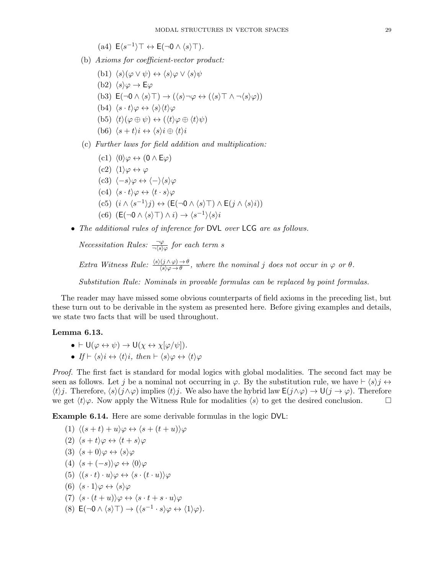$$
(a4) E\langle s^{-1}\rangle \top \leftrightarrow E(\neg 0 \wedge \langle s \rangle \top).
$$

- (b) Axioms for coefficient-vector product:
	- (b1)  $\langle s \rangle (\varphi \vee \psi) \leftrightarrow \langle s \rangle \varphi \vee \langle s \rangle \psi$
	- (b2)  $\langle s \rangle \varphi \rightarrow E \varphi$
	- (b3)  $E(\neg 0 \land \langle s \rangle \top) \rightarrow (\langle s \rangle \neg \varphi \leftrightarrow (\langle s \rangle \top \land \neg \langle s \rangle \varphi))$
	- (b4)  $\langle s \cdot t \rangle \varphi \leftrightarrow \langle s \rangle \langle t \rangle \varphi$
	- (b5)  $\langle t \rangle (\varphi \oplus \psi) \leftrightarrow (\langle t \rangle \varphi \oplus \langle t \rangle \psi)$
	- (b6)  $\langle s + t \rangle i \leftrightarrow \langle s \rangle i \oplus \langle t \rangle i$
- (c) Further laws for field addition and multiplication:
	- (c1)  $\langle 0 \rangle \varphi \leftrightarrow (0 \wedge E\varphi)$
	- $(c2)$   $\langle 1 \rangle \varphi \leftrightarrow \varphi$
	- $(c3) \langle -s \rangle \varphi \leftrightarrow \langle \rangle \langle s \rangle \varphi$
	- $(c4)$   $\langle s \cdot t \rangle \varphi \leftrightarrow \langle t \cdot s \rangle \varphi$
	- $(c5)$   $(i \wedge \langle s^{-1} \rangle j) \leftrightarrow (E(\neg 0 \wedge \langle s \rangle \top) \wedge E(j \wedge \langle s \rangle i))$
	- (c6)  $(E(\neg 0 \land \langle s \rangle \top) \land i) \rightarrow \langle s^{-1} \rangle \langle s \rangle i$
- The additional rules of inference for DVL over LCG are as follows.

*Necessitation Rules:*  $\frac{\neg \varphi}{\neg \langle s \rangle \varphi}$  for each term s

Extra Witness Rule:  $\frac{\langle s \rangle(j \wedge \varphi) \to \theta}{\langle s \rangle \varphi \to \theta}$ , where the nominal j does not occur in  $\varphi$  or  $\theta$ .

Substitution Rule: Nominals in provable formulas can be replaced by point formulas.

The reader may have missed some obvious counterparts of field axioms in the preceding list, but these turn out to be derivable in the system as presented here. Before giving examples and details, we state two facts that will be used throughout.

#### Lemma 6.13.

- $\bullet \vdash \mathsf{U}(\varphi \leftrightarrow \psi) \rightarrow \mathsf{U}(\chi \leftrightarrow \chi[\varphi/\psi]).$
- If  $\vdash \langle s \rangle i \leftrightarrow \langle t \rangle i$ , then  $\vdash \langle s \rangle \varphi \leftrightarrow \langle t \rangle \varphi$

Proof. The first fact is standard for modal logics with global modalities. The second fact may be seen as follows. Let j be a nominal not occurring in  $\varphi$ . By the substitution rule, we have  $\vdash \langle s \rangle j \leftrightarrow$  $\langle t \rangle$ j. Therefore,  $\langle s \rangle$ (j∧ $\varphi$ ) implies  $\langle t \rangle$ j. We also have the hybrid law E(j∧ $\varphi$ ) → U(j →  $\varphi$ ). Therefore we get  $\langle t \rangle \varphi$ . Now apply the Witness Rule for modalities  $\langle s \rangle$  to get the desired conclusion.

Example 6.14. Here are some derivable formulas in the logic DVL:

(1)  $\langle (s + t) + u \rangle \varphi \leftrightarrow \langle s + (t + u) \rangle \varphi$ (2)  $\langle s + t \rangle \varphi \leftrightarrow \langle t + s \rangle \varphi$ (3)  $\langle s + 0 \rangle \varphi \leftrightarrow \langle s \rangle \varphi$ (4)  $\langle s + (-s) \rangle \varphi \leftrightarrow \langle 0 \rangle \varphi$ (5)  $\langle (s \cdot t) \cdot u \rangle \varphi \leftrightarrow \langle s \cdot (t \cdot u) \rangle \varphi$ (6)  $\langle s \cdot 1 \rangle \varphi \leftrightarrow \langle s \rangle \varphi$ (7)  $\langle s \cdot (t + u) \rangle \varphi \leftrightarrow \langle s \cdot t + s \cdot u \rangle \varphi$ (8)  $\mathsf{E}(\neg 0 \land \langle s \rangle \top) \rightarrow (\langle s^{-1} \cdot s \rangle \varphi \leftrightarrow \langle 1 \rangle \varphi).$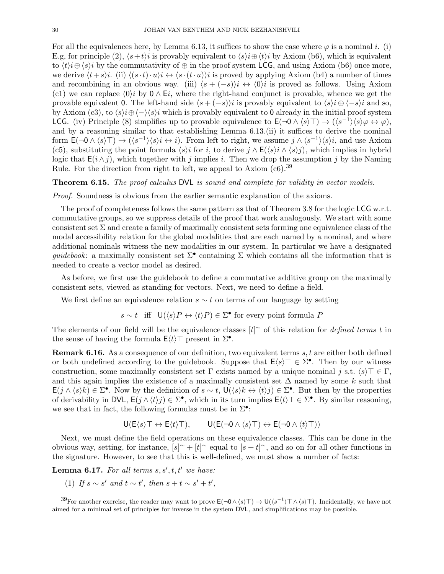For all the equivalences here, by Lemma 6.13, it suffices to show the case where  $\varphi$  is a nominal i. (i) E.g, for principle (2),  $\langle s+t\rangle i$  is provably equivalent to  $\langle s\rangle i\oplus \langle t\rangle i$  by Axiom (b6), which is equivalent to  $\langle t \rangle i \oplus \langle s \rangle i$  by the commutativity of  $\oplus$  in the proof system LCG, and using Axiom (b6) once more, we derive  $\langle t+s\rangle$ i. (ii)  $\langle (s \cdot t)\cdot u\rangle$ i  $\leftrightarrow \langle s \cdot (t\cdot u)\rangle$ i is proved by applying Axiom (b4) a number of times and recombining in an obvious way. (iii)  $\langle s + (-s) \rangle i \leftrightarrow \langle 0 \rangle i$  is proved as follows. Using Axiom (c1) we can replace  $\langle 0 \rangle i$  by  $0 \wedge E_i$ , where the right-hand conjunct is provable, whence we get the provable equivalent 0. The left-hand side  $\langle s + (-s) \rangle i$  is provably equivalent to  $\langle s \rangle i \oplus \langle -s \rangle i$  and so, by Axiom (c3), to  $\langle s \rangle i \oplus \langle - \rangle \langle s \rangle i$  which is provably equivalent to 0 already in the initial proof system LCG. (iv) Principle (8) simplifies up to provable equivalence to  $\mathsf{E}(\neg \mathsf{O} \land \langle s \rangle \top) \to (\langle s^{-1} \rangle \langle s \rangle \varphi \leftrightarrow \varphi),$ and by a reasoning similar to that establishing Lemma 6.13.(ii) it suffices to derive the nominal form  $\mathsf{E}(\neg \mathsf{O} \land \langle s \rangle \top) \to (\langle s^{-1} \rangle \langle s \rangle i \leftrightarrow i)$ . From left to right, we assume  $j \land \langle s^{-1} \rangle \langle s \rangle i$ , and use Axiom (c5), substituting the point formula  $\langle s \rangle i$  for i, to derive  $j \wedge E(\langle s \rangle i \wedge \langle s \rangle j)$ , which implies in hybrid logic that  $E(i \wedge j)$ , which together with j implies i. Then we drop the assumption j by the Naming Rule. For the direction from right to left, we appeal to Axiom  $(c6)$ .<sup>39</sup>

Theorem 6.15. The proof calculus DVL is sound and complete for validity in vector models.

Proof. Soundness is obvious from the earlier semantic explanation of the axioms.

The proof of completeness follows the same pattern as that of Theorem 3.8 for the logic LCG w.r.t. commutative groups, so we suppress details of the proof that work analogously. We start with some consistent set  $\Sigma$  and create a family of maximally consistent sets forming one equivalence class of the modal accessibility relation for the global modalities that are each named by a nominal, and where additional nominals witness the new modalities in our system. In particular we have a designated guidebook: a maximally consistent set  $\Sigma^{\bullet}$  containing  $\Sigma$  which contains all the information that is needed to create a vector model as desired.

As before, we first use the guidebook to define a commutative additive group on the maximally consistent sets, viewed as standing for vectors. Next, we need to define a field.

We first define an equivalence relation  $s \sim t$  on terms of our language by setting

$$
s \sim t
$$
 iff  $U(\langle s \rangle P \leftrightarrow \langle t \rangle P) \in \Sigma^{\bullet}$  for every point formula P

The elements of our field will be the equivalence classes  $[t]$ <sup>~</sup> of this relation for *defined terms t* in the sense of having the formula  $\mathsf{E}\langle t\rangle\top$  present in  $\Sigma^{\bullet}$ .

Remark 6.16. As a consequence of our definition, two equivalent terms s, t are either both defined or both undefined according to the guidebook. Suppose that  $E\langle s \rangle \top \in \Sigma^{\bullet}$ . Then by our witness construction, some maximally consistent set  $\Gamma$  exists named by a unique nominal j s.t.  $\langle s \rangle \top \in \Gamma$ , and this again implies the existence of a maximally consistent set  $\Delta$  named by some k such that  $\mathsf{E}(j \wedge \langle s \rangle k) \in \Sigma^{\bullet}$ . Now by the definition of  $s \sim t$ ,  $\mathsf{U}(\langle s \rangle k \leftrightarrow \langle t \rangle j) \in \Sigma^{\bullet}$ . But then by the properties of derivability in DVL,  $E(j \wedge \langle t \rangle j) \in \Sigma^{\bullet}$ , which in its turn implies  $E\langle t \rangle \top \in \Sigma^{\bullet}$ . By similar reasoning, we see that in fact, the following formulas must be in  $\Sigma^{\bullet}$ :

$$
\mathsf{U}(\mathsf{E}\langle s \rangle \top \leftrightarrow \mathsf{E}\langle t \rangle \top), \qquad \mathsf{U}(\mathsf{E}(\neg \mathsf{0} \land \langle s \rangle \top) \leftrightarrow \mathsf{E}(\neg \mathsf{0} \land \langle t \rangle \top))
$$

Next, we must define the field operations on these equivalence classes. This can be done in the obvious way, setting, for instance,  $[s]^{\sim} + [t]^{\sim}$  equal to  $[s+t]^{\sim}$ , and so on for all other functions in the signature. However, to see that this is well-defined, we must show a number of facts:

**Lemma 6.17.** For all terms  $s, s', t, t'$  we have:

(1) If  $s \sim s'$  and  $t \sim t'$ , then  $s + t \sim s' + t'$ ,

<sup>&</sup>lt;sup>39</sup>For another exercise, the reader may want to prove  $\mathsf{E}(\neg \mathsf{0} \land \langle s \rangle \top) \to \mathsf{U}(\langle s^{-1} \rangle \top \land \langle s \rangle \top)$ . Incidentally, we have not aimed for a minimal set of principles for inverse in the system DVL, and simplifications may be possible.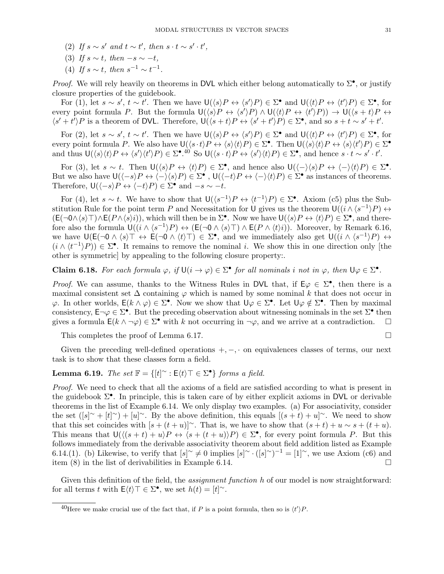- (2) If  $s \sim s'$  and  $t \sim t'$ , then  $s \cdot t \sim s' \cdot t'$ ,
- (3) If  $s \sim t$ , then  $-s \sim -t$ ,
- (4) If  $s \sim t$ , then  $s^{-1} \sim t^{-1}$ .

*Proof.* We will rely heavily on theorems in DVL which either belong automatically to  $\Sigma^{\bullet}$ , or justify closure properties of the guidebook.

For (1), let  $s \sim s'$ ,  $t \sim t'$ . Then we have  $\mathsf{U}(\langle s \rangle P \leftrightarrow \langle s' \rangle P) \in \Sigma^{\bullet}$  and  $\mathsf{U}(\langle t \rangle P \leftrightarrow \langle t' \rangle P) \in \Sigma^{\bullet}$ , for every point formula P. But the formula  $\mathsf{U}(\langle s \rangle P \leftrightarrow \langle s' \rangle P) \wedge \mathsf{U}(\langle t \rangle P \leftrightarrow \langle t' \rangle P)) \rightarrow \mathsf{U}(\langle s+t \rangle P \leftrightarrow \langle s' \rangle P)$  $\langle s' + t' \rangle P$  is a theorem of DVL. Therefore,  $\mathsf{U}(\langle s+t \rangle P \leftrightarrow \langle s' + t' \rangle P) \in \Sigma^{\bullet}$ , and so  $s + t \sim s' + t'$ .

For (2), let  $s \sim s'$ ,  $t \sim t'$ . Then we have  $\mathsf{U}(\langle s \rangle P \leftrightarrow \langle s' \rangle P) \in \Sigma^{\bullet}$  and  $\mathsf{U}(\langle t \rangle P \leftrightarrow \langle t' \rangle P) \in \Sigma^{\bullet}$ , for every point formula P. We also have  $\mathsf{U}(\langle s \cdot t \rangle P \leftrightarrow \langle s \rangle \langle t \rangle P) \in \Sigma^{\bullet}$ . Then  $\mathsf{U}(\langle s \rangle \langle t \rangle P \leftrightarrow \langle s \rangle \langle t \rangle P) \in \Sigma^{\bullet}$ and thus  $\mathsf{U}(\langle s \rangle \langle t \rangle P \leftrightarrow \langle s' \rangle \langle t' \rangle P) \in \Sigma^{\bullet}$ .<sup>40</sup> So  $\mathsf{U}(\langle s \cdot t \rangle P \leftrightarrow \langle s' \rangle \langle t \rangle P) \in \Sigma^{\bullet}$ , and hence  $s \cdot t \sim s' \cdot t'$ .

For (3), let  $s \sim t$ . Then  $\mathsf{U}(\langle s \rangle P \leftrightarrow \langle t \rangle P) \in \Sigma^{\bullet}$ , and hence also  $\mathsf{U}(\langle - \rangle \langle s \rangle P \leftrightarrow \langle - \rangle \langle t \rangle P) \in \Sigma^{\bullet}$ . But we also have  $\bigcup (\langle -s \rangle P \leftrightarrow \langle - \rangle \langle s \rangle P) \in \Sigma^{\bullet}$ ,  $\bigcup (\langle -t \rangle P \leftrightarrow \langle - \rangle \langle t \rangle P) \in \Sigma^{\bullet}$  as instances of theorems. Therefore,  $\mathsf{U}(\langle -s \rangle P \leftrightarrow \langle -t \rangle P) \in \Sigma^{\bullet}$  and  $-s \sim -t$ .

For (4), let  $s \sim t$ . We have to show that  $\mathsf{U}(\langle s^{-1} \rangle P \leftrightarrow \langle t^{-1} \rangle P) \in \Sigma^{\bullet}$ . Axiom (c5) plus the Substitution Rule for the point term P and Necessitation for U gives us the theorem  $U((i \wedge \langle s^{-1} \rangle P) \leftrightarrow$  $(E(\neg 0 \land \langle s \rangle \top) \land E(P \land \langle s \rangle i))$ , which will then be in  $\Sigma^{\bullet}$ . Now we have  $\bigcup (\langle s \rangle P \leftrightarrow \langle t \rangle P) \in \Sigma^{\bullet}$ , and therefore also the formula  $\mathsf{U}((i \wedge \langle s^{-1} \rangle P) \leftrightarrow (\mathsf{E}(\neg \mathsf{O} \wedge \langle s \rangle \top) \wedge \mathsf{E}(P \wedge \langle t \rangle i)).$  Moreover, by Remark 6.16, we have  $U(E(\neg 0 \land \langle s \rangle \top \leftrightarrow E(\neg 0 \land \langle t \rangle \top) \in \Sigma^{\bullet})$ , and we immediately also get  $U((i \land \langle s^{-1} \rangle P) \leftrightarrow$  $(i \wedge \langle t^{-1} \rangle P)) \in \Sigma^{\bullet}$ . It remains to remove the nominal i. We show this in one direction only [the other is symmetric] by appealing to the following closure property:.

**Claim 6.18.** For each formula  $\varphi$ , if  $\mathsf{U}(i \to \varphi) \in \Sigma^{\bullet}$  for all nominals i not in  $\varphi$ , then  $\mathsf{U}\varphi \in \Sigma^{\bullet}$ .

*Proof.* We can assume, thanks to the Witness Rules in DVL that, if  $E\varphi \in \Sigma^{\bullet}$ , then there is a maximal consistent set  $\Delta$  containing  $\varphi$  which is named by some nominal k that does not occur in  $\varphi$ . In other worlds,  $E(k \wedge \varphi) \in \Sigma^{\bullet}$ . Now we show that  $\bigcup \varphi \in \Sigma^{\bullet}$ . Let  $\bigcup \varphi \notin \Sigma^{\bullet}$ . Then by maximal consistency,  $\mathsf{E}\neg\varphi\in\Sigma^\bullet$ . But the preceding observation about witnessing nominals in the set  $\Sigma^\bullet$  then gives a formula  $E(k \wedge \neg \varphi) \in \Sigma^{\bullet}$  with k not occurring in  $\neg \varphi$ , and we arrive at a contradiction.  $\square$ 

This completes the proof of Lemma 6.17.

Given the preceding well-defined operations  $+,-, \cdot$  on equivalences classes of terms, our next task is to show that these classes form a field.

# **Lemma 6.19.** The set  $\mathbb{F} = \{ [t]^\sim : E(t) \top \in \Sigma^{\bullet} \}$  forms a field.

Proof. We need to check that all the axioms of a field are satisfied according to what is present in the guidebook Σ• . In principle, this is taken care of by either explicit axioms in DVL or derivable theorems in the list of Example 6.14. We only display two examples. (a) For associativity, consider the set  $(|s|^{\sim} + |t|^{\sim}) + |u|^{\sim}$ . By the above definition, this equals  $|(s+t) + u|^{\sim}$ . We need to show that this set coincides with  $[s + (t + u)]^{\sim}$ . That is, we have to show that  $(s + t) + u \sim s + (t + u)$ . This means that  $U((s + t) + u)P \leftrightarrow (s + (t + u))P) \in \Sigma^{\bullet}$ , for every point formula P. But this follows immediately from the derivable associativity theorem about field addition listed as Example 6.14.(1). (b) Likewise, to verify that  $[s]^\sim \neq 0$  implies  $[s]^\sim \cdot ([s]^\sim)^{-1} = [1]^\sim$ , we use Axiom (c6) and item  $(8)$  in the list of derivabilities in Example 6.14.

Given this definition of the field, the *assignment function* h of our model is now straightforward: for all terms t with  $\mathsf{E}\langle t\rangle \top \in \Sigma^{\bullet}$ , we set  $h(t) = [t]^{\sim}$ .

<sup>&</sup>lt;sup>40</sup>Here we make crucial use of the fact that, if P is a point formula, then so is  $\langle t' \rangle P$ .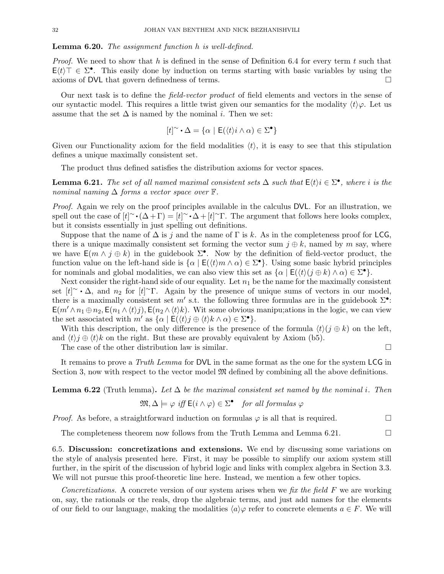#### Lemma 6.20. The assignment function h is well-defined.

*Proof.* We need to show that h is defined in the sense of Definition 6.4 for every term t such that  $E(t)$   $\top \in \Sigma^{\bullet}$ . This easily done by induction on terms starting with basic variables by using the axioms of DVL that govern definedness of terms.

Our next task is to define the field-vector product of field elements and vectors in the sense of our syntactic model. This requires a little twist given our semantics for the modality  $\langle t \rangle \varphi$ . Let us assume that the set  $\Delta$  is named by the nominal *i*. Then we set:

$$
[t]^\sim \cdot \Delta = \{ \alpha \mid \mathsf{E}(\langle t \rangle i \wedge \alpha) \in \Sigma^\bullet \}
$$

Given our Functionality axiom for the field modalities  $\langle t \rangle$ , it is easy to see that this stipulation defines a unique maximally consistent set.

The product thus defined satisfies the distribution axioms for vector spaces.

**Lemma 6.21.** The set of all named maximal consistent sets  $\Delta$  such that  $E(t)$ *i*  $\in \Sigma^{\bullet}$ , where *i* is the nominal naming  $\Delta$  forms a vector space over  $\mathbb{F}$ .

Proof. Again we rely on the proof principles available in the calculus DVL. For an illustration, we spell out the case of  $[t]^\sim \cdot (\Delta + \Gamma) = [t]^\sim \cdot \Delta + [t]^\sim \Gamma$ . The argument that follows here looks complex, but it consists essentially in just spelling out definitions.

Suppose that the name of  $\Delta$  is j and the name of  $\Gamma$  is k. As in the completeness proof for LCG, there is a unique maximally consistent set forming the vector sum  $j \oplus k$ , named by m say, where we have  $E(m \wedge j \oplus k)$  in the guidebook  $\Sigma^{\bullet}$ . Now by the definition of field-vector product, the function value on the left-hand side is  $\{\alpha \mid E(\langle t \rangle m \wedge \alpha) \in \Sigma^{\bullet}\}\)$ . Using some basic hybrid principles for nominals and global modalities, we can also view this set as  $\{\alpha \mid \mathsf{E}(\langle t \rangle (j \oplus k) \wedge \alpha) \in \Sigma^{\bullet}\}.$ 

Next consider the right-hand side of our equality. Let  $n_1$  be the name for the maximally consistent set  $[t] \sim \Delta$ , and  $n_2$  for  $[t] \sim \Gamma$ . Again by the presence of unique sums of vectors in our model, there is a maximally consistent set m' s.t. the following three formulas are in the guidebook  $\Sigma^{\bullet}$ :  $E(m' \wedge n_1 \oplus n_2, E(n_1 \wedge \langle t \rangle j), E(n_2 \wedge \langle t \rangle k)$ . Wit some obvious manipu;ations in the logic, we can view the set associated with  $m'$  as  $\{\alpha \mid \mathsf{E}(\langle t \rangle j \oplus \langle t \rangle k \wedge \alpha) \in \Sigma^{\bullet}\}.$ 

With this description, the only difference is the presence of the formula  $\langle t \rangle (j \oplus k)$  on the left, and  $\langle t \rangle j \oplus \langle t \rangle k$  on the right. But these are provably equivalent by Axiom (b5).

The case of the other distribution law is similar.  $\Box$ 

It remains to prove a Truth Lemma for DVL in the same format as the one for the system LCG in Section 3, now with respect to the vector model  $\mathfrak{M}$  defined by combining all the above definitions.

**Lemma 6.22** (Truth lemma). Let  $\Delta$  be the maximal consistent set named by the nominal i. Then

$$
\mathfrak{M}, \Delta \models \varphi \text{ iff } \mathsf{E}(i \wedge \varphi) \in \Sigma^{\bullet} \quad \text{for all formulas } \varphi
$$

*Proof.* As before, a straightforward induction on formulas  $\varphi$  is all that is required.

The completeness theorem now follows from the Truth Lemma and Lemma 6.21.  $\Box$ 

6.5. Discussion: concretizations and extensions. We end by discussing some variations on the style of analysis presented here. First, it may be possible to simplify our axiom system still further, in the spirit of the discussion of hybrid logic and links with complex algebra in Section 3.3. We will not pursue this proof-theoretic line here. Instead, we mention a few other topics.

Concretizations. A concrete version of our system arises when we fix the field  $F$  we are working on, say, the rationals or the reals, drop the algebraic terms, and just add names for the elements of our field to our language, making the modalities  $\langle a \rangle \varphi$  refer to concrete elements  $a \in F$ . We will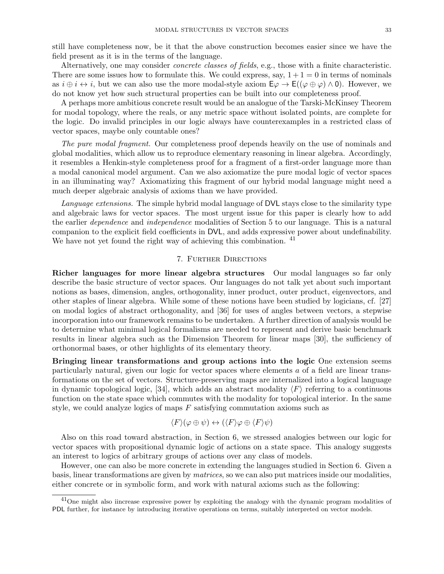still have completeness now, be it that the above construction becomes easier since we have the field present as it is in the terms of the language.

Alternatively, one may consider concrete classes of fields, e.g., those with a finite characteristic. There are some issues how to formulate this. We could express, say,  $1+1=0$  in terms of nominals as  $i \oplus i \leftrightarrow i$ , but we can also use the more modal-style axiom  $E\varphi \to E((\varphi \oplus \varphi) \wedge 0)$ . However, we do not know yet how such structural properties can be built into our completeness proof.

A perhaps more ambitious concrete result would be an analogue of the Tarski-McKinsey Theorem for modal topology, where the reals, or any metric space without isolated points, are complete for the logic. Do invalid principles in our logic always have counterexamples in a restricted class of vector spaces, maybe only countable ones?

The pure modal fragment. Our completeness proof depends heavily on the use of nominals and global modalities, which allow us to reproduce elementary reasoning in linear algebra. Accordingly, it resembles a Henkin-style completeness proof for a fragment of a first-order language more than a modal canonical model argument. Can we also axiomatize the pure modal logic of vector spaces in an illuminating way? Axiomatizing this fragment of our hybrid modal language might need a much deeper algebraic analysis of axioms than we have provided.

Language extensions. The simple hybrid modal language of DVL stays close to the similarity type and algebraic laws for vector spaces. The most urgent issue for this paper is clearly how to add the earlier dependence and independence modalities of Section 5 to our language. This is a natural companion to the explicit field coefficients in DVL, and adds expressive power about undefinability. We have not yet found the right way of achieving this combination. <sup>41</sup>

## 7. Further Directions

Richer languages for more linear algebra structures Our modal languages so far only describe the basic structure of vector spaces. Our languages do not talk yet about such important notions as bases, dimension, angles, orthogonality, inner product, outer product, eigenvectors, and other staples of linear algebra. While some of these notions have been studied by logicians, cf. [27] on modal logics of abstract orthogonality, and [36] for uses of angles between vectors, a stepwise incorporation into our framework remains to be undertaken. A further direction of analysis would be to determine what minimal logical formalisms are needed to represent and derive basic benchmark results in linear algebra such as the Dimension Theorem for linear maps [30], the sufficiency of orthonormal bases, or other highlights of its elementary theory.

Bringing linear transformations and group actions into the logic One extension seems particularly natural, given our logic for vector spaces where elements a of a field are linear transformations on the set of vectors. Structure-preserving maps are internalized into a logical language in dynamic topological logic, [34], which adds an abstract modality  $\langle F \rangle$  referring to a continuous function on the state space which commutes with the modality for topological interior. In the same style, we could analyze logics of maps  $F$  satisfying commutation axioms such as

$$
\langle F \rangle (\varphi \oplus \psi) \leftrightarrow (\langle F \rangle \varphi \oplus \langle F \rangle \psi)
$$

Also on this road toward abstraction, in Section 6, we stressed analogies between our logic for vector spaces with propositional dynamic logic of actions on a state space. This analogy suggests an interest to logics of arbitrary groups of actions over any class of models.

However, one can also be more concrete in extending the languages studied in Section 6. Given a basis, linear transformations are given by matrices, so we can also put matrices inside our modalities, either concrete or in symbolic form, and work with natural axioms such as the following:

<sup>&</sup>lt;sup>41</sup>One might also iincrease expressive power by exploiting the analogy with the dynamic program modalities of PDL further, for instance by introducing iterative operations on terms, suitably interpreted on vector models.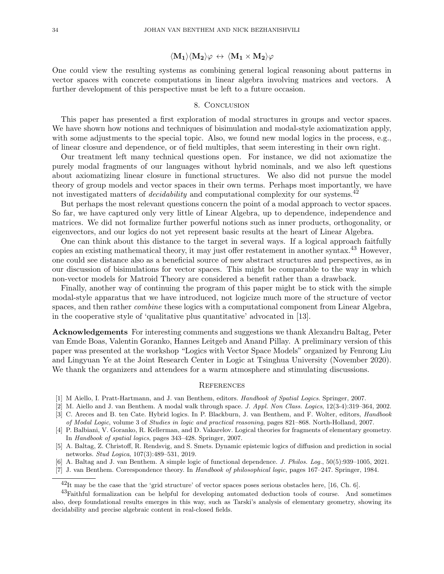## $\langle \mathbf{M_1}\rangle \langle \mathbf{M_2}\rangle \varphi \, \leftrightarrow \, \langle \mathbf{M_1} \times \mathbf{M_2}\rangle \varphi$

One could view the resulting systems as combining general logical reasoning about patterns in vector spaces with concrete computations in linear algebra involving matrices and vectors. A further development of this perspective must be left to a future occasion.

#### 8. Conclusion

This paper has presented a first exploration of modal structures in groups and vector spaces. We have shown how notions and techniques of bisimulation and modal-style axiomatization apply, with some adjustments to the special topic. Also, we found new modal logics in the process, e.g., of linear closure and dependence, or of field multiples, that seem interesting in their own right.

Our treatment left many technical questions open. For instance, we did not axiomatize the purely modal fragments of our languages without hybrid nominals, and we also left questions about axiomatizing linear closure in functional structures. We also did not pursue the model theory of group models and vector spaces in their own terms. Perhaps most importantly, we have not investigated matters of *decidability* and computational complexity for our systems.<sup>42</sup>

But perhaps the most relevant questions concern the point of a modal approach to vector spaces. So far, we have captured only very little of Linear Algebra, up to dependence, independence and matrices. We did not formalize further powerful notions such as inner products, orthogonality, or eigenvectors, and our logics do not yet represent basic results at the heart of Linear Algebra.

One can think about this distance to the target in several ways. If a logical approach faitfully copies an existing mathematical theory, it may just offer restatement in another syntax.<sup>43</sup> However, one could see distance also as a beneficial source of new abstract structures and perspectives, as in our discussion of bisimulations for vector spaces. This might be comparable to the way in which non-vector models for Matroid Theory are considered a benefit rather than a drawback.

Finally, another way of continuing the program of this paper might be to stick with the simple modal-style apparatus that we have introduced, not logicize much more of the structure of vector spaces, and then rather *combine* these logics with a computational component from Linear Algebra, in the cooperative style of 'qualitative plus quantitative' advocated in [13].

Acknowledgements For interesting comments and suggestions we thank Alexandru Baltag, Peter van Emde Boas, Valentin Goranko, Hannes Leitgeb and Anand Pillay. A preliminary version of this paper was presented at the workshop "Logics with Vector Space Models" organized by Fenrong Liu and Lingyuan Ye at the Joint Research Center in Logic at Tsinghua University (November 2020). We thank the organizers and attendees for a warm atmosphere and stimulating discussions.

#### **REFERENCES**

- [1] M Aiello, I. Pratt-Hartmann, and J. van Benthem, editors. Handbook of Spatial Logics. Springer, 2007.
- [2] M. Aiello and J. van Benthem. A modal walk through space. J. Appl. Non Class. Logics, 12(3-4):319–364, 2002.
- [3] C. Areces and B. ten Cate. Hybrid logics. In P. Blackburn, J. van Benthem, and F. Wolter, editors, Handbook of Modal Logic, volume 3 of Studies in logic and practical reasoning, pages 821–868. North-Holland, 2007.
- [4] P. Balbiani, V. Goranko, R. Kellerman, and D. Vakarelov. Logical theories for fragments of elementary geometry. In Handbook of spatial logics, pages 343–428. Springer, 2007.
- [5] A. Baltag, Z. Christoff, R. Rendsvig, and S. Smets. Dynamic epistemic logics of diffusion and prediction in social networks. Stud Logica, 107(3):489–531, 2019.
- [6] A. Baltag and J. van Benthem. A simple logic of functional dependence. J. Philos. Log., 50(5):939–1005, 2021.
- [7] J. van Benthem. Correspondence theory. In Handbook of philosophical logic, pages 167–247. Springer, 1984.

 $^{42}$ It may be the case that the 'grid structure' of vector spaces poses serious obstacles here, [16, Ch. 6].

<sup>&</sup>lt;sup>43</sup>Faithful formalization can be helpful for developing automated deduction tools of course. And sometimes also, deep foundational results emerges in this way, such as Tarski's analysis of elementary geometry, showing its decidability and precise algebraic content in real-closed fields.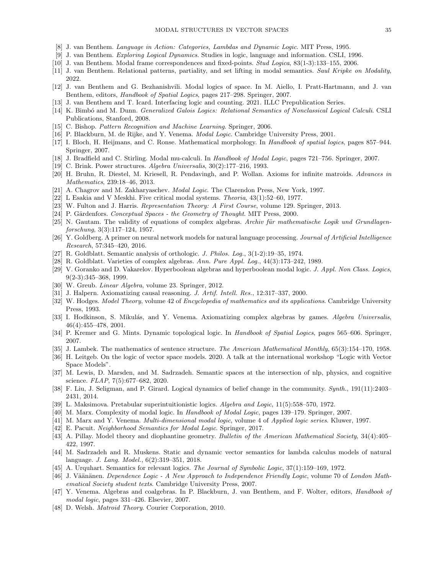- [8] J. van Benthem. Language in Action: Categories, Lambdas and Dynamic Logic. MIT Press, 1995.
- [9] J. van Benthem. Exploring Logical Dynamics. Studies in logic, language and information. CSLI, 1996.
- [10] J. van Benthem. Modal frame correspondences and fixed-points. Stud Logica, 83(1-3):133–155, 2006.
- [11] J. van Benthem. Relational patterns, partiality, and set lifting in modal semantics. Saul Kripke on Modality, 2022.
- [12] J. van Benthem and G. Bezhanishvili. Modal logics of space. In M. Aiello, I. Pratt-Hartmann, and J. van Benthem, editors, Handbook of Spatial Logics, pages 217–298. Springer, 2007.
- [13] J. van Benthem and T. Icard. Interfacing logic and counting. 2021. ILLC Prepublication Series.
- [14] K. Bimbó and M. Dunn. Generalized Galois Logics: Relational Semantics of Nonclassical Logical Calculi. CSLI Publications, Stanford, 2008.
- [15] C. Bishop. Pattern Recognition and Machine Learning. Springer, 2006.
- [16] P. Blackburn, M. de Rijke, and Y. Venema. *Modal Logic*. Cambridge University Press, 2001.
- [17] I. Bloch, H. Heijmans, and C. Ronse. Mathematical morphology. In Handbook of spatial logics, pages 857–944. Springer, 2007.
- [18] J. Bradfield and C. Stirling. Modal mu-calculi. In Handbook of Modal Logic, pages 721–756. Springer, 2007.
- [19] C. Brink. Power structures. Algebra Universalis, 30(2):177–216, 1993.
- [20] H. Bruhn, R. Diestel, M. Kriesell, R. Pendavingh, and P. Wollan. Axioms for infinite matroids. Advances in Mathematics, 239:18–46, 2013.
- [21] A. Chagrov and M. Zakharyaschev. Modal Logic. The Clarendon Press, New York, 1997.
- [22] L Esakia and V Meskhi. Five critical modal systems. Theoria, 43(1):52–60, 1977.
- [23] W. Fulton and J. Harris. Representation Theory: A First Course, volume 129. Springer, 2013.
- [24] P. Gärdenfors. Conceptual Spaces the Geometry of Thought. MIT Press, 2000.
- [25] N. Gautam. The validity of equations of complex algebras. Archiv für mathematische Logik und Grundlagenforschung, 3(3):117–124, 1957.
- [26] Y. Goldberg. A primer on neural network models for natural language processing. Journal of Artificial Intelligence Research, 57:345–420, 2016.
- [27] R. Goldblatt. Semantic analysis of orthologic. J. Philos. Log., 3(1-2):19–35, 1974.
- [28] R. Goldblatt. Varieties of complex algebras. Ann. Pure Appl. Log., 44(3):173–242, 1989.
- [29] V. Goranko and D. Vakarelov. Hyperboolean algebras and hyperboolean modal logic. J. Appl. Non Class. Logics, 9(2-3):345–368, 1999.
- [30] W. Greub. Linear Algebra, volume 23. Springer, 2012.
- [31] J. Halpern. Axiomatizing causal reasoning. J. Artif. Intell. Res., 12:317–337, 2000.
- [32] W. Hodges. Model Theory, volume 42 of Encyclopedia of mathematics and its applications. Cambridge University Press, 1993.
- [33] I. Hodkinson, S. Mikulás, and Y. Venema. Axiomatizing complex algebras by games. Algebra Universalis, 46(4):455–478, 2001.
- [34] P. Kremer and G. Mints. Dynamic topological logic. In Handbook of Spatial Logics, pages 565–606. Springer, 2007.
- [35] J. Lambek. The mathematics of sentence structure. The American Mathematical Monthly, 65(3):154–170, 1958.
- [36] H. Leitgeb. On the logic of vector space models. 2020. A talk at the international workshop "Logic with Vector Space Models".
- [37] M. Lewis, D. Marsden, and M. Sadrzadeh. Semantic spaces at the intersection of nlp, physics, and cognitive science. FLAP, 7(5):677–682, 2020.
- [38] F. Liu, J. Seligman, and P. Girard. Logical dynamics of belief change in the community. Synth., 191(11):2403– 2431, 2014.
- [39] L. Maksimova. Pretabular superintuitionistic logics. Algebra and Logic, 11(5):558–570, 1972.
- [40] M. Marx. Complexity of modal logic. In Handbook of Modal Logic, pages 139–179. Springer, 2007.
- [41] M. Marx and Y. Venema. Multi-dimensional modal logic, volume 4 of Applied logic series. Kluwer, 1997.
- [42] E. Pacuit. Neighborhood Semantics for Modal Logic. Springer, 2017.
- [43] A. Pillay. Model theory and diophantine geometry. Bulletin of the American Mathematical Society, 34(4):405– 422, 1997.
- [44] M. Sadrzadeh and R. Muskens. Static and dynamic vector semantics for lambda calculus models of natural language. J. Lang. Model., 6(2):319–351, 2018.
- [45] A. Urquhart. Semantics for relevant logics. The Journal of Symbolic Logic, 37(1):159–169, 1972.
- [46] J. Väänänen. Dependence Logic A New Approach to Independence Friendly Logic, volume 70 of London Mathematical Society student texts. Cambridge University Press, 2007.
- [47] Y. Venema. Algebras and coalgebras. In P. Blackburn, J. van Benthem, and F. Wolter, editors, Handbook of modal logic, pages 331–426. Elsevier, 2007.
- [48] D. Welsh. *Matroid Theory*. Courier Corporation, 2010.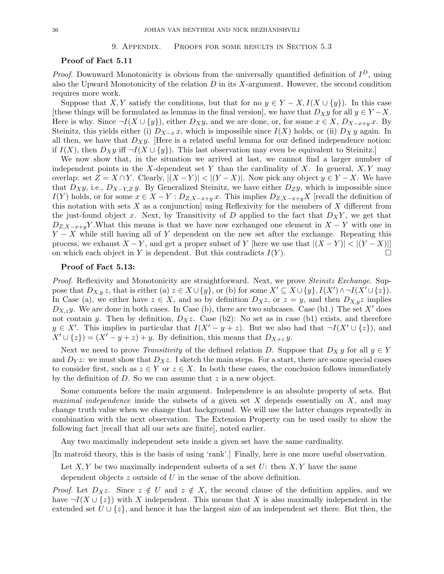### 9. Appendix. Proofs for some results in Section 5.3

## Proof of Fact 5.11

*Proof.* Downward Monotonicity is obvious from the universally quantified definition of  $I<sup>D</sup>$ , using also the Upward Monotonicity of the relation  $D$  in its  $X$ -argument. However, the second condition requires more work.

Suppose that X, Y satisfy the conditions, but that for no  $y \in Y - X, I(X \cup \{y\})$ . In this case [these things will be formulated as lemmas in the final version], we have that  $D_X y$  for all  $y \in Y - X$ . Here is why. Since  $\neg I(X \cup \{y\})$ , either  $D_Xy$ , and we are done, or, for some  $x \in X$ ,  $D_{X-x+y}x$ . By Steinitz, this yields either (i)  $D_{X-x} x$ , which is impossible since  $I(X)$  holds, or (ii)  $D_X y$  again. In all then, we have that  $D_X y$ . [Here is a related useful lemma for our defined independence notion: if  $I(X)$ , then  $D_X y$  iff  $\neg I(X \cup \{y\})$ . This last observation may even be equivalent to Steinitz.

We now show that, in the situation we arrived at last, we cannot find a larger number of independent points in the X-dependent set Y than the cardinality of X. In general,  $X, Y$  may overlap: set  $Z = X \cap Y$ . Clearly,  $|(X - Y)| < |(Y - X)|$ . Now pick any object  $y \in Y - X$ . We have that  $D_Xy$ , i.e.,  $D_{X-Y,Z}y$ . By Generalized Steinitz, we have either  $D_Zy$ , which is impossible since  $I(Y)$  holds, or for some  $x \in X - Y : D_{Z,X-x+y} x$ . This implies  $D_{Z,X-x+y} X$  [recall the definition of this notation with sets  $X$  as a conjunction using Reflexivity for the members of  $X$  different from the just-found object x. Next, by Transitivity of D applied to the fact that  $D_XY$ , we get that  $D_{Z,X-x+y}Y$ .What this means is that we have now exchanged one element in  $X-Y$  with one in  $Y - X$  while still having all of Y dependent on the new set after the exchange. Repeating this process, we exhaust  $X - Y$ , and get a proper subset of Y [here we use that  $|(X - Y)| < |(Y - X)||$ on which each object in Y is dependent. But this contradicts  $I(Y)$ .

## Proof of Fact 5.13:

Proof. Reflexivity and Monotonicity are straightforward. Next, we prove *Steinitz Exchange*. Suppose that  $D_{X,y} z$ , that is either (a)  $z \in X \cup \{y\}$ , or (b) for some  $X' \subseteq X \cup \{y\}$ ,  $I(X') \wedge \neg I(X' \cup \{z\})$ . In Case (a), we either have  $z \in X$ , and so by definition  $D_Xz$ , or  $z = y$ , and then  $D_{X,y}z$  implies  $D_{X,z}y$ . We are done in both cases. In Case (b), there are two subcases. Case (b1.) The set X' does not contain y. Then by definition,  $D_Xz$ . Case (b2): No set as in case (b1) exists, and therefore  $y \in X'$ . This implies in particular that  $I(X'-y+z)$ . But we also had that  $\neg I(X' \cup \{z\})$ , and  $X' \cup \{z\} = (X'-y+z) + y$ . By definition, this means that  $D_{X+z} y$ .

Next we need to prove *Transitivity* of the defined relation D. Suppose that  $D_X y$  for all  $y \in Y$ and  $D_Y z$ : we must show that  $D_X z$ . I sketch the main steps. For a start, there are some special cases to consider first, such as  $z \in Y$  or  $z \in X$ . In both these cases, the conclusion follows immediately by the definition of  $D$ . So we can assume that  $z$  is a new object.

Some comments before the main argument. Independence is an absolute property of sets. But *maximal independence* inside the subsets of a given set  $X$  depends essentially on  $X$ , and may change truth value when we change that background. We will use the latter changes repeatedly in combination with the next observation. The Extension Property can be used easily to show the following fact [recall that all our sets are finite], noted earlier.

Any two maximally independent sets inside a given set have the same cardinality.

[In matroid theory, this is the basis of using 'rank'.] Finally, here is one more useful observation.

Let  $X, Y$  be two maximally independent subsets of a set U: then  $X, Y$  have the same

dependent objects  $z$  outside of  $U$  in the sense of the above definition.

*Proof.* Let  $D_Xz$ . Since  $z \notin U$  and  $z \notin X$ , the second clause of the definition applies, and we have  $\neg I(X \cup \{z\})$  with X independent. This means that X is also maximally independent in the extended set  $U \cup \{z\}$ , and hence it has the largest size of an independent set there. But then, the